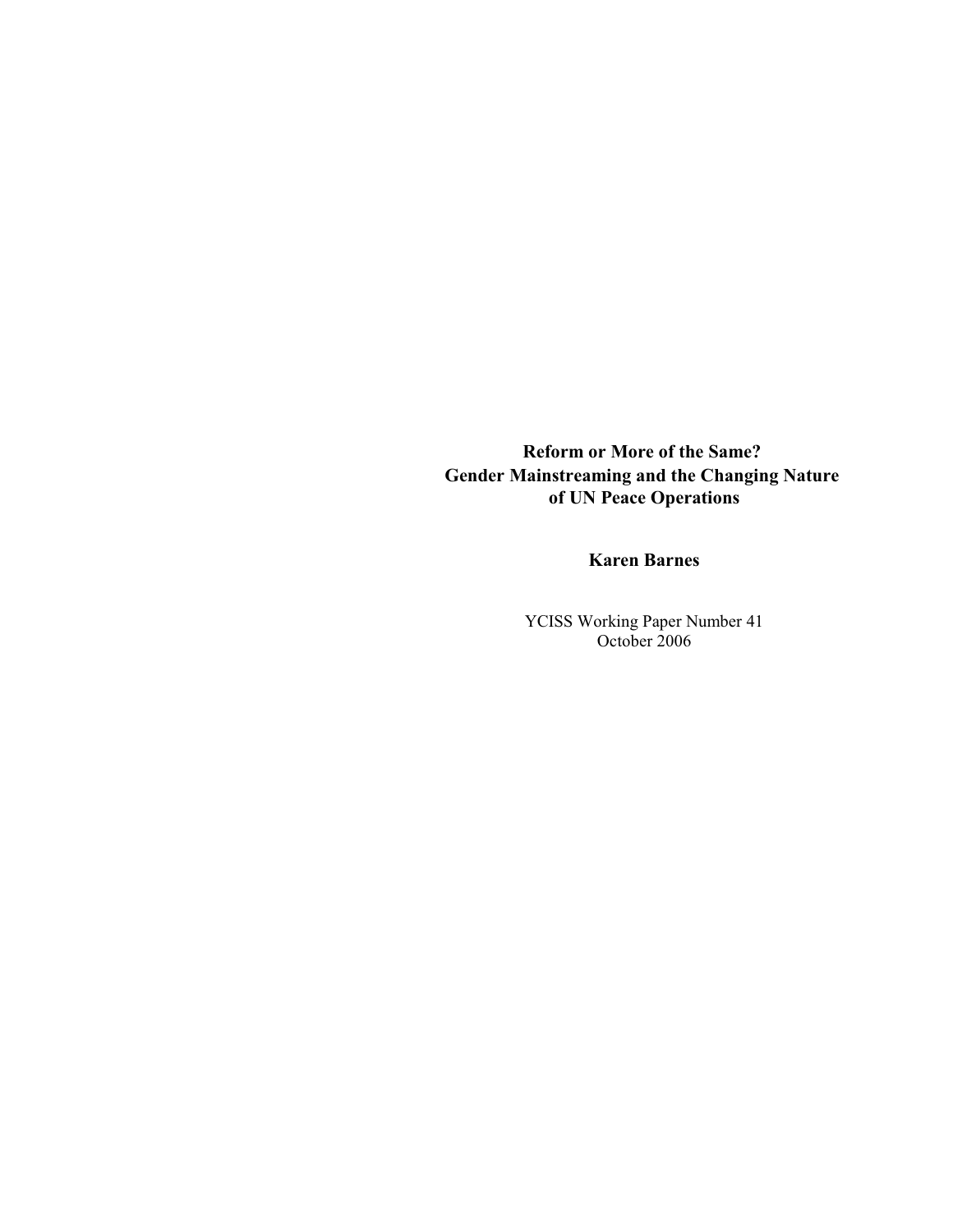**Reform or More of the Same? Gender Mainstreaming and the Changing Nature of UN Peace Operations**

## **Karen Barnes**

YCISS Working Paper Number 41 October 2006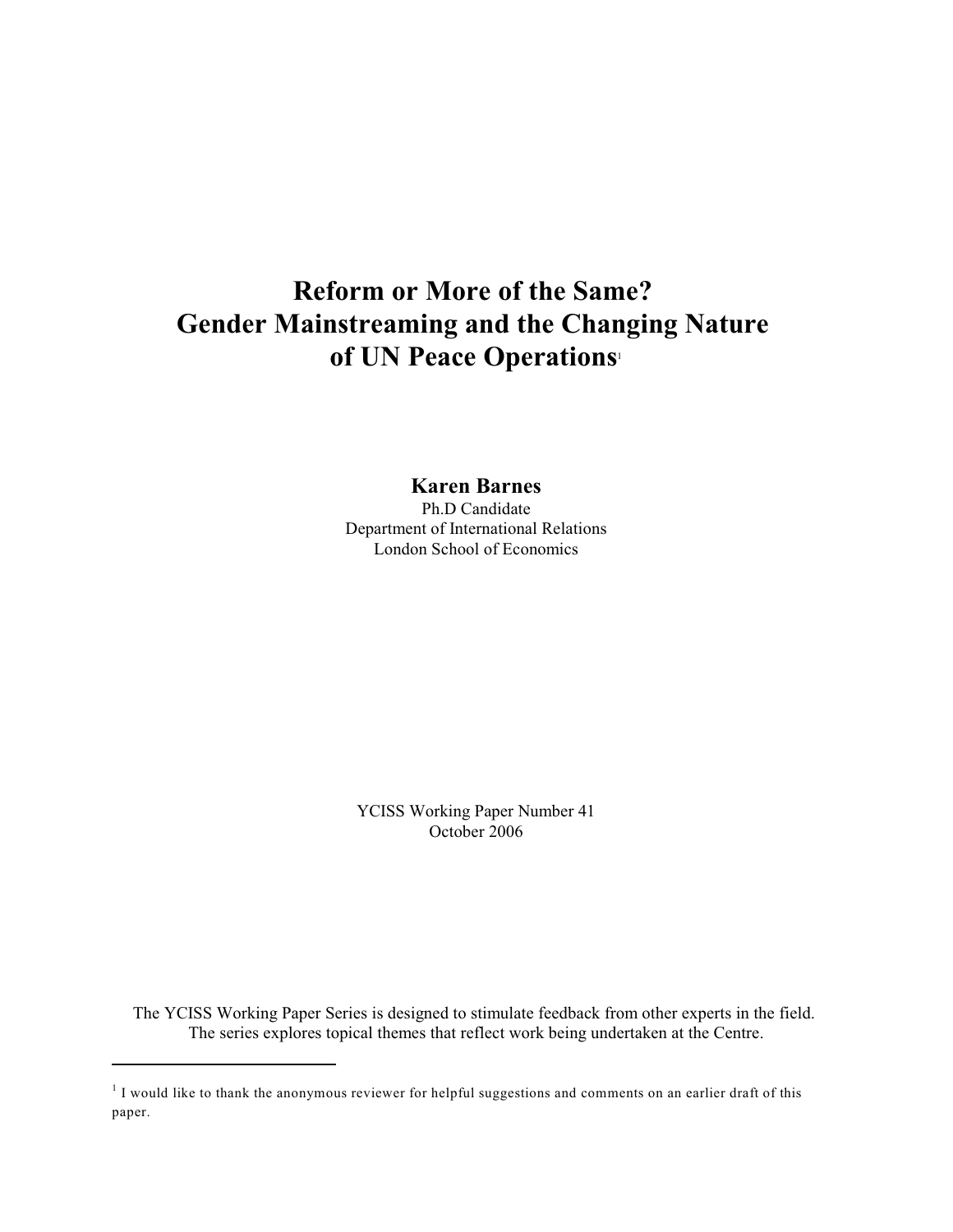# **Reform or More of the Same? Gender Mainstreaming and the Changing Nature of UN Peace Operations**<sup>1</sup>

**Karen Barnes**

Ph.D Candidate Department of International Relations London School of Economics

YCISS Working Paper Number 41 October 2006

The YCISS Working Paper Series is designed to stimulate feedback from other experts in the field. The series explores topical themes that reflect work being undertaken at the Centre.

 $1$  I would like to thank the anonymous reviewer for helpful suggestions and comments on an earlier draft of this paper.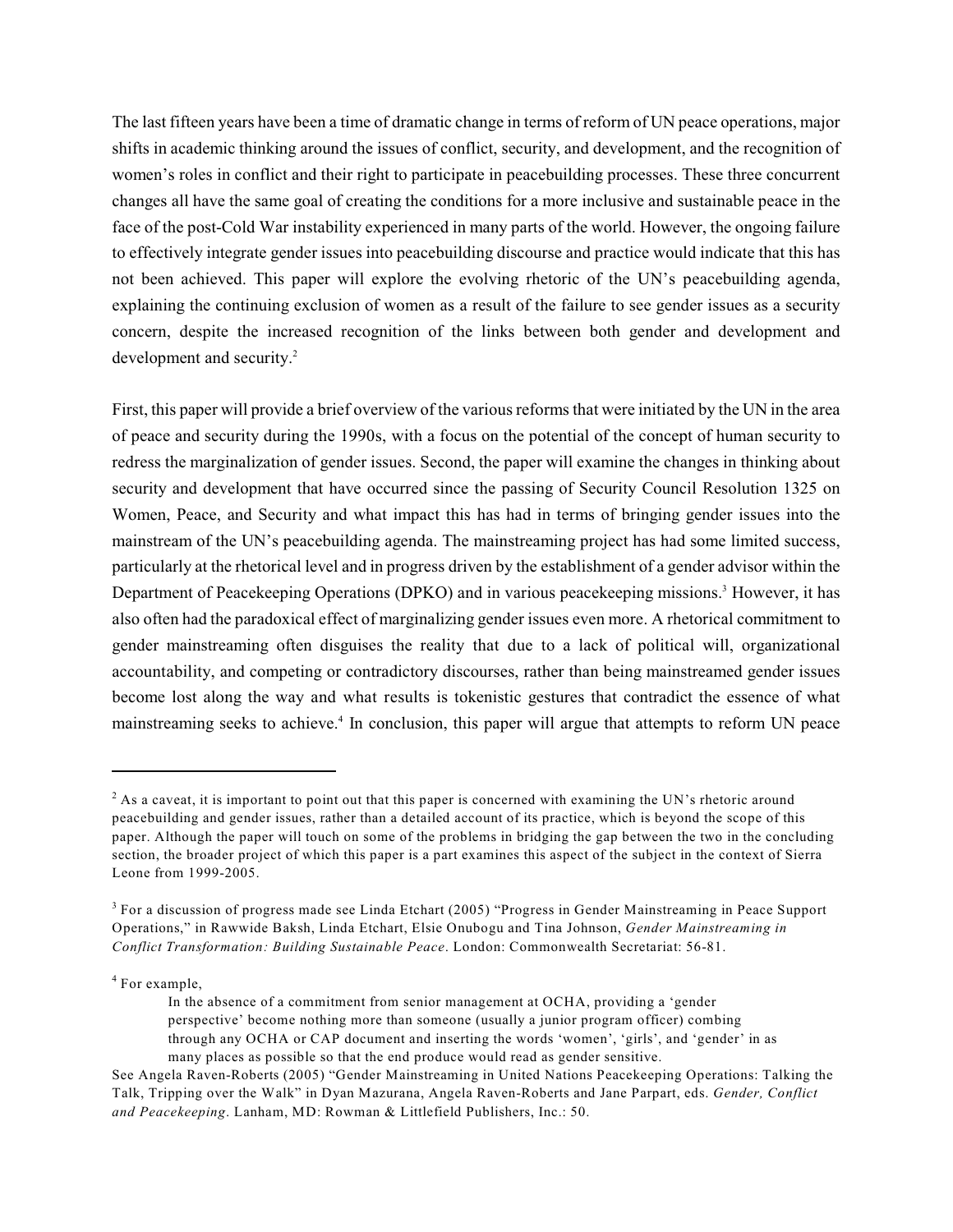The last fifteen years have been a time of dramatic change in terms of reform of UN peace operations, major shifts in academic thinking around the issues of conflict, security, and development, and the recognition of women's roles in conflict and their right to participate in peacebuilding processes. These three concurrent changes all have the same goal of creating the conditions for a more inclusive and sustainable peace in the face of the post-Cold War instability experienced in many parts of the world. However, the ongoing failure to effectively integrate gender issues into peacebuilding discourse and practice would indicate that this has not been achieved. This paper will explore the evolving rhetoric of the UN's peacebuilding agenda, explaining the continuing exclusion of women as a result of the failure to see gender issues as a security concern, despite the increased recognition of the links between both gender and development and development and security.<sup>2</sup>

First, this paper will provide a brief overview of the various reforms that were initiated by the UN in the area of peace and security during the 1990s, with a focus on the potential of the concept of human security to redress the marginalization of gender issues. Second, the paper will examine the changes in thinking about security and development that have occurred since the passing of Security Council Resolution 1325 on Women, Peace, and Security and what impact this has had in terms of bringing gender issues into the mainstream of the UN's peacebuilding agenda. The mainstreaming project has had some limited success, particularly at the rhetorical level and in progress driven by the establishment of a gender advisor within the Department of Peacekeeping Operations (DPKO) and in various peacekeeping missions.<sup>3</sup> However, it has also often had the paradoxical effect of marginalizing gender issues even more. A rhetorical commitment to gender mainstreaming often disguises the reality that due to a lack of political will, organizational accountability, and competing or contradictory discourses, rather than being mainstreamed gender issues become lost along the way and what results is tokenistic gestures that contradict the essence of what mainstreaming seeks to achieve.<sup>4</sup> In conclusion, this paper will argue that attempts to reform UN peace

<sup>4</sup> For example,

 $^2$  As a caveat, it is important to point out that this paper is concerned with examining the UN's rhetoric around peacebuilding and gender issues, rather than a detailed account of its practice, which is beyond the scope of this paper. Although the paper will touch on some of the problems in bridging the gap between the two in the concluding section, the broader project of which this paper is a part examines this aspect of the subject in the context of Sierra Leone from 1999-2005.

 $3$  For a discussion of progress made see Linda Etchart (2005) "Progress in Gender Mainstreaming in Peace Support Operations," in Rawwide Baksh, Linda Etchart, Elsie Onubogu and Tina Johnson, *Gender Mainstreaming in Conflict Transformation: Building Sustainable Peace*. London: Commonwealth Secretariat: 56-81.

In the absence of a commitment from senior management at OCHA, providing a 'gender perspective' become nothing more than someone (usually a junior program officer) combing through any OCHA or CAP document and inserting the words 'women', 'girls', and 'gender' in as many places as possible so that the end produce would read as gender sensitive.

See Angela Raven-Roberts (2005) "Gender Mainstreaming in United Nations Peacekeeping Operations: Talking the Talk, Tripping over the Walk" in Dyan Mazurana, Angela Raven-Roberts and Jane Parpart, eds. *Gender, Conflict and Peacekeeping*. Lanham, MD: Rowman & Littlefield Publishers, Inc.: 50.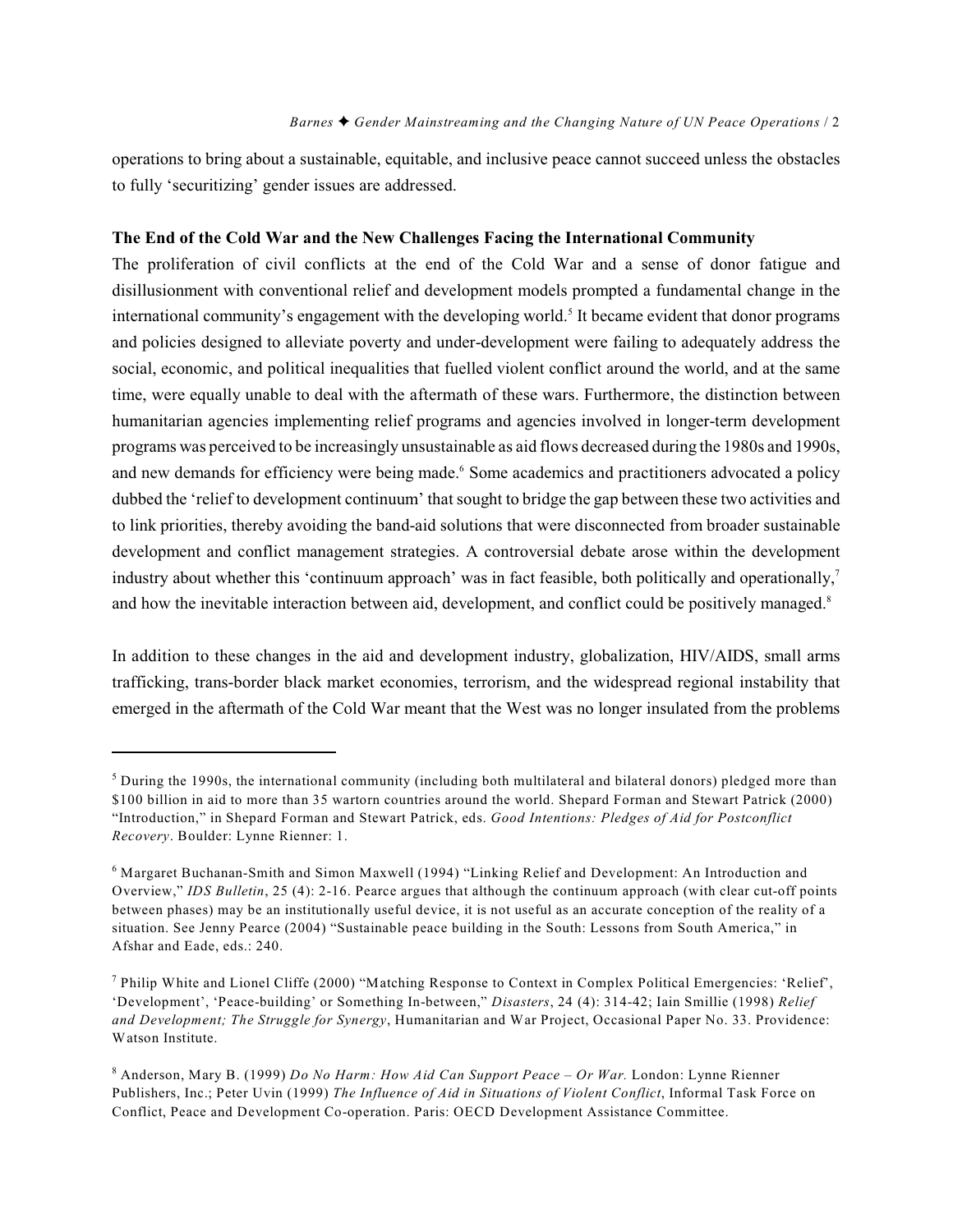operations to bring about a sustainable, equitable, and inclusive peace cannot succeed unless the obstacles to fully 'securitizing' gender issues are addressed.

#### **The End of the Cold War and the New Challenges Facing the International Community**

The proliferation of civil conflicts at the end of the Cold War and a sense of donor fatigue and disillusionment with conventional relief and development models prompted a fundamental change in the international community's engagement with the developing world.<sup>5</sup> It became evident that donor programs and policies designed to alleviate poverty and under-development were failing to adequately address the social, economic, and political inequalities that fuelled violent conflict around the world, and at the same time, were equally unable to deal with the aftermath of these wars. Furthermore, the distinction between humanitarian agencies implementing relief programs and agencies involved in longer-term development programs was perceived to be increasingly unsustainable as aid flows decreased during the 1980s and 1990s, and new demands for efficiency were being made.<sup>6</sup> Some academics and practitioners advocated a policy dubbed the 'relief to development continuum' that sought to bridge the gap between these two activities and to link priorities, thereby avoiding the band-aid solutions that were disconnected from broader sustainable development and conflict management strategies. A controversial debate arose within the development industry about whether this 'continuum approach' was in fact feasible, both politically and operationally,<sup>7</sup> and how the inevitable interaction between aid, development, and conflict could be positively managed.<sup>8</sup>

In addition to these changes in the aid and development industry, globalization, HIV/AIDS, small arms trafficking, trans-border black market economies, terrorism, and the widespread regional instability that emerged in the aftermath of the Cold War meant that the West was no longer insulated from the problems

 $<sup>5</sup>$  During the 1990s, the international community (including both multilateral and bilateral donors) pledged more than</sup> \$100 billion in aid to more than 35 wartorn countries around the world. Shepard Forman and Stewart Patrick (2000) "Introduction," in Shepard Forman and Stewart Patrick, eds. *Good Intentions: Pledges of Aid for Postconflict Recovery*. Boulder: Lynne Rienner: 1.

<sup>&</sup>lt;sup>6</sup> Margaret Buchanan-Smith and Simon Maxwell (1994) "Linking Relief and Development: An Introduction and Overview," *IDS Bulletin*, 25 (4): 2-16. Pearce argues that although the continuum approach (with clear cut-off points between phases) may be an institutionally useful device, it is not useful as an accurate conception of the reality of a situation. See Jenny Pearce (2004) "Sustainable peace building in the South: Lessons from South America," in Afshar and Eade, eds.: 240.

Philip White and Lionel Cliffe (2000) "Matching Response to Context in Complex Political Emergencies: 'Relief', <sup>7</sup> 'Development', 'Peace-building' or Something In-between," *Disasters*, 24 (4): 314-42; Iain Smillie (1998) *Relief and Development; The Struggle for Synergy*, Humanitarian and War Project, Occasional Paper No. 33. Providence: Watson Institute.

Anderson, Mary B. (1999) *Do No Harm: How Aid Can Support Peace – Or War.* London: Lynne Rienner <sup>8</sup> Publishers, Inc.; Peter Uvin (1999) *The Influence of Aid in Situations of Violent Conflict*, Informal Task Force on Conflict, Peace and Development Co-operation. Paris: OECD Development Assistance Committee.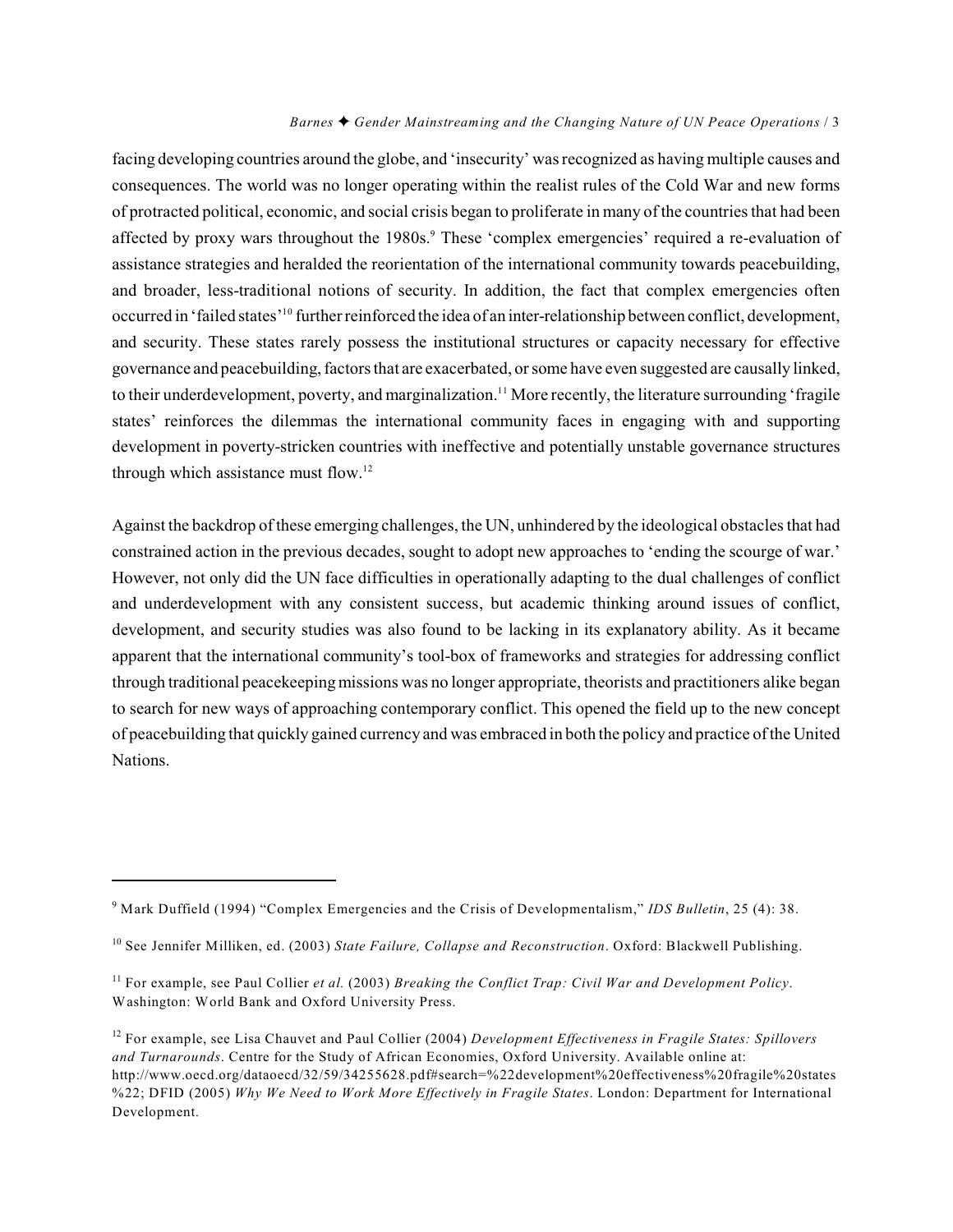facing developing countries around the globe, and 'insecurity' was recognized as having multiple causes and consequences. The world was no longer operating within the realist rules of the Cold War and new forms of protracted political, economic, and social crisis began to proliferate in many of the countries that had been affected by proxy wars throughout the 1980s.<sup>9</sup> These 'complex emergencies' required a re-evaluation of assistance strategies and heralded the reorientation of the international community towards peacebuilding, and broader, less-traditional notions of security. In addition, the fact that complex emergencies often occurred in 'failed states'<sup>10</sup> further reinforced the idea of an inter-relationship between conflict, development, and security. These states rarely possess the institutional structures or capacity necessary for effective governance and peacebuilding, factors that are exacerbated, or some have even suggested are causally linked, to their underdevelopment, poverty, and marginalization.<sup>11</sup> More recently, the literature surrounding 'fragile states' reinforces the dilemmas the international community faces in engaging with and supporting development in poverty-stricken countries with ineffective and potentially unstable governance structures through which assistance must flow.<sup>12</sup>

Against the backdrop of these emerging challenges, the UN, unhindered by the ideological obstacles that had constrained action in the previous decades, sought to adopt new approaches to 'ending the scourge of war.' However, not only did the UN face difficulties in operationally adapting to the dual challenges of conflict and underdevelopment with any consistent success, but academic thinking around issues of conflict, development, and security studies was also found to be lacking in its explanatory ability. As it became apparent that the international community's tool-box of frameworks and strategies for addressing conflict through traditional peacekeepingmissions was no longer appropriate, theorists and practitioners alike began to search for new ways of approaching contemporary conflict. This opened the field up to the new concept of peacebuilding that quickly gained currency and was embraced in both the policy and practice of the United Nations.

<sup>&</sup>lt;sup>9</sup> Mark Duffield (1994) "Complex Emergencies and the Crisis of Developmentalism," *IDS Bulletin*, 25 (4): 38.

<sup>&</sup>lt;sup>10</sup> See Jennifer Milliken, ed. (2003) *State Failure, Collapse and Reconstruction*. Oxford: Blackwell Publishing.

<sup>&</sup>lt;sup>11</sup> For example, see Paul Collier et al. (2003) Breaking the Conflict Trap: Civil War and Development Policy. Washington: World Bank and Oxford University Press.

<sup>&</sup>lt;sup>12</sup> For example, see Lisa Chauvet and Paul Collier (2004) *Development Effectiveness in Fragile States: Spillovers and Turnarounds*. Centre for the Study of African Economies, Oxford University. Available online at: http://www.oecd.org/dataoecd/32/59/34255628.pdf#search=%22development%20effectiveness%20fragile%20states %22; DFID (2005) *Why We Need to Work More Effectively in Fragile States*. London: Department for International Development.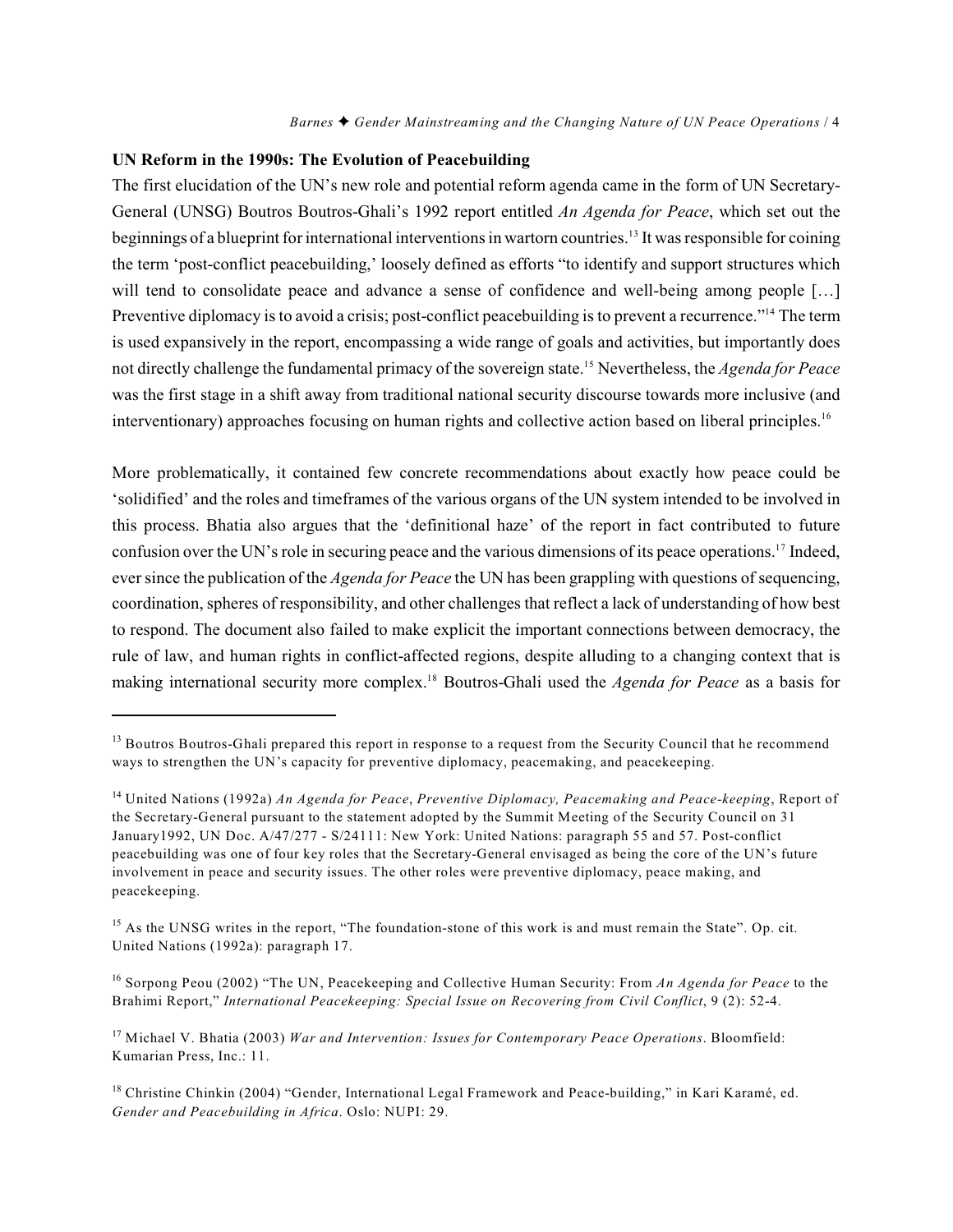#### **UN Reform in the 1990s: The Evolution of Peacebuilding**

The first elucidation of the UN's new role and potential reform agenda came in the form of UN Secretary-General (UNSG) Boutros Boutros-Ghali's 1992 report entitled *An Agenda for Peace*, which set out the beginnings of a blueprint for international interventions in wartorn countries.<sup>13</sup> It was responsible for coining the term 'post-conflict peacebuilding,' loosely defined as efforts "to identify and support structures which will tend to consolidate peace and advance a sense of confidence and well-being among people [...] Preventive diplomacy is to avoid a crisis; post-conflict peacebuilding is to prevent a recurrence."<sup>14</sup> The term is used expansively in the report, encompassing a wide range of goals and activities, but importantly does not directly challenge the fundamental primacy of the sovereign state.<sup>15</sup> Nevertheless, the *Agenda for Peace* was the first stage in a shift away from traditional national security discourse towards more inclusive (and interventionary) approaches focusing on human rights and collective action based on liberal principles.<sup>16</sup>

More problematically, it contained few concrete recommendations about exactly how peace could be 'solidified' and the roles and timeframes of the various organs of the UN system intended to be involved in this process. Bhatia also argues that the 'definitional haze' of the report in fact contributed to future confusion over the UN's role in securing peace and the various dimensions of its peace operations.<sup>17</sup> Indeed, ever since the publication of the *Agenda for Peace* the UN has been grappling with questions of sequencing, coordination, spheres of responsibility, and other challenges that reflect a lack of understanding of how best to respond. The document also failed to make explicit the important connections between democracy, the rule of law, and human rights in conflict-affected regions, despite alluding to a changing context that is making international security more complex.<sup>18</sup> Boutros-Ghali used the *Agenda for Peace* as a basis for

<sup>&</sup>lt;sup>13</sup> Boutros Boutros-Ghali prepared this report in response to a request from the Security Council that he recommend ways to strengthen the UN's capacity for preventive diplomacy, peacemaking, and peacekeeping.

United Nations (1992a) *An Agenda for Peace*, *Preventive Diplomacy, Peacemaking and Peace-keeping*, Report of <sup>14</sup> the Secretary-General pursuant to the statement adopted by the Summit Meeting of the Security Council on 31 January1992, UN Doc. A/47/277 - S/24111: New York: United Nations: paragraph 55 and 57. Post-conflict peacebuilding was one of four key roles that the Secretary-General envisaged as being the core of the UN's future involvement in peace and security issues. The other roles were preventive diplomacy, peace making, and peacekeeping.

<sup>&</sup>lt;sup>15</sup> As the UNSG writes in the report, "The foundation-stone of this work is and must remain the State". Op. cit. United Nations (1992a): paragraph 17.

<sup>&</sup>lt;sup>16</sup> Sorpong Peou (2002) "The UN, Peacekeeping and Collective Human Security: From *An Agenda for Peace* to the Brahimi Report," *International Peacekeeping: Special Issue on Recovering from Civil Conflict*, 9 (2): 52-4.

<sup>&</sup>lt;sup>17</sup> Michael V. Bhatia (2003) *War and Intervention: Issues for Contemporary Peace Operations*. Bloomfield: Kumarian Press, Inc.: 11.

<sup>&</sup>lt;sup>18</sup> Christine Chinkin (2004) "Gender, International Legal Framework and Peace-building," in Kari Karamé, ed. *Gender and Peacebuilding in Africa*. Oslo: NUPI: 29.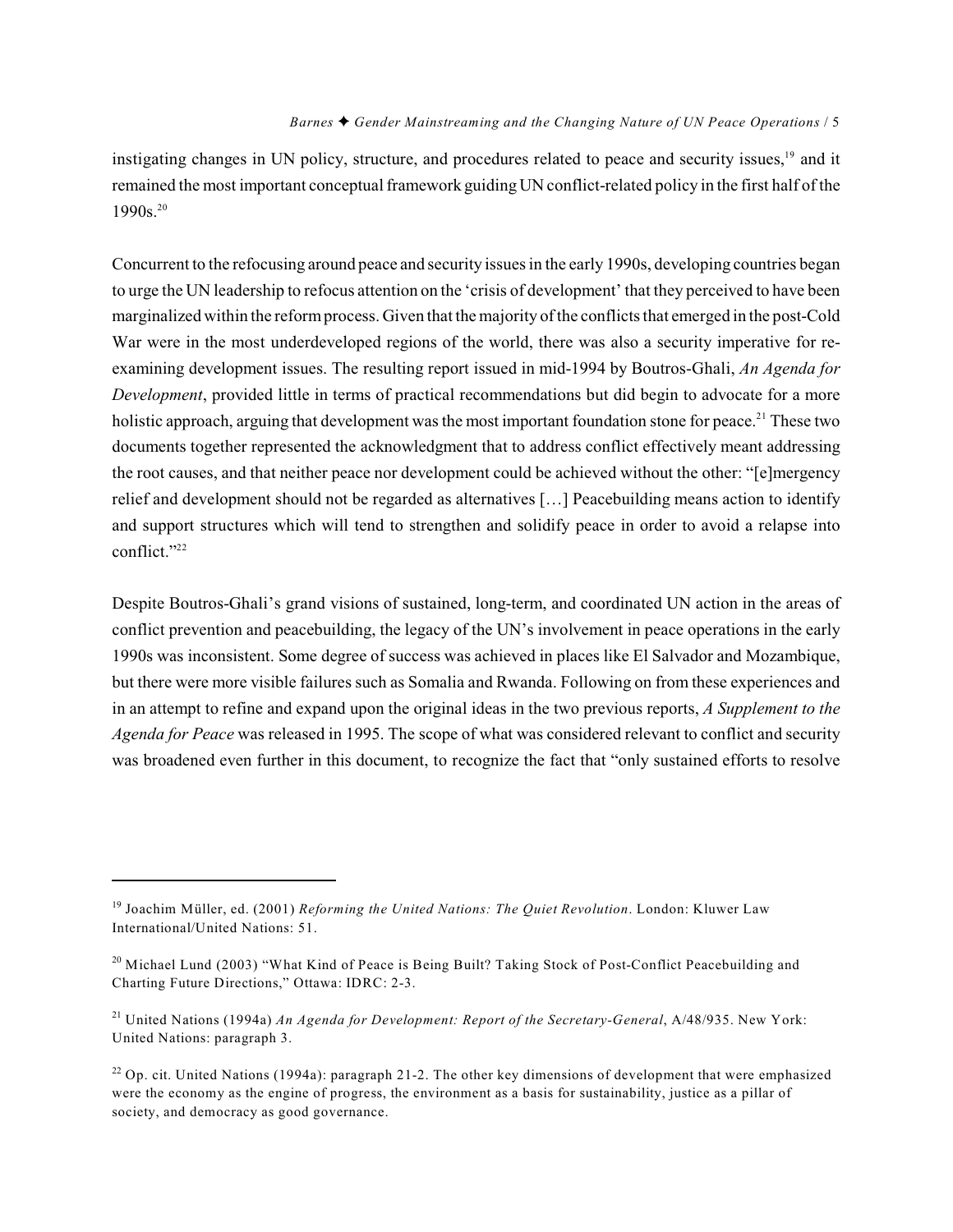instigating changes in UN policy, structure, and procedures related to peace and security issues,<sup>19</sup> and it remained the most important conceptual framework guiding UN conflict-related policy in the first half of the 1990s.<sup>20</sup>

Concurrent to the refocusing around peace and security issues in the early 1990s, developing countries began to urge the UN leadership to refocus attention on the 'crisis of development' that they perceived to have been marginalized within the reform process. Given that the majority of the conflicts that emerged in the post-Cold War were in the most underdeveloped regions of the world, there was also a security imperative for reexamining development issues. The resulting report issued in mid-1994 by Boutros-Ghali, *An Agenda for Development*, provided little in terms of practical recommendations but did begin to advocate for a more holistic approach, arguing that development was the most important foundation stone for peace.<sup>21</sup> These two documents together represented the acknowledgment that to address conflict effectively meant addressing the root causes, and that neither peace nor development could be achieved without the other: "[e]mergency relief and development should not be regarded as alternatives […] Peacebuilding means action to identify and support structures which will tend to strengthen and solidify peace in order to avoid a relapse into conflict." 22

Despite Boutros-Ghali's grand visions of sustained, long-term, and coordinated UN action in the areas of conflict prevention and peacebuilding, the legacy of the UN's involvement in peace operations in the early 1990s was inconsistent. Some degree of success was achieved in places like El Salvador and Mozambique, but there were more visible failures such as Somalia and Rwanda. Following on from these experiences and in an attempt to refine and expand upon the original ideas in the two previous reports, *A Supplement to the Agenda for Peace* was released in 1995. The scope of what was considered relevant to conflict and security was broadened even further in this document, to recognize the fact that "only sustained efforts to resolve

<sup>&</sup>lt;sup>19</sup> Joachim Müller, ed. (2001) *Reforming the United Nations: The Quiet Revolution*. London: Kluwer Law International/United Nations: 51.

 $20$  Michael Lund (2003) "What Kind of Peace is Being Built? Taking Stock of Post-Conflict Peacebuilding and Charting Future Directions," Ottawa: IDRC: 2-3.

<sup>&</sup>lt;sup>21</sup> United Nations (1994a) *An Agenda for Development: Report of the Secretary-General*, A/48/935. New York: United Nations: paragraph 3.

<sup>&</sup>lt;sup>22</sup> Op. cit. United Nations (1994a): paragraph 21-2. The other key dimensions of development that were emphasized were the economy as the engine of progress, the environment as a basis for sustainability, justice as a pillar of society, and democracy as good governance.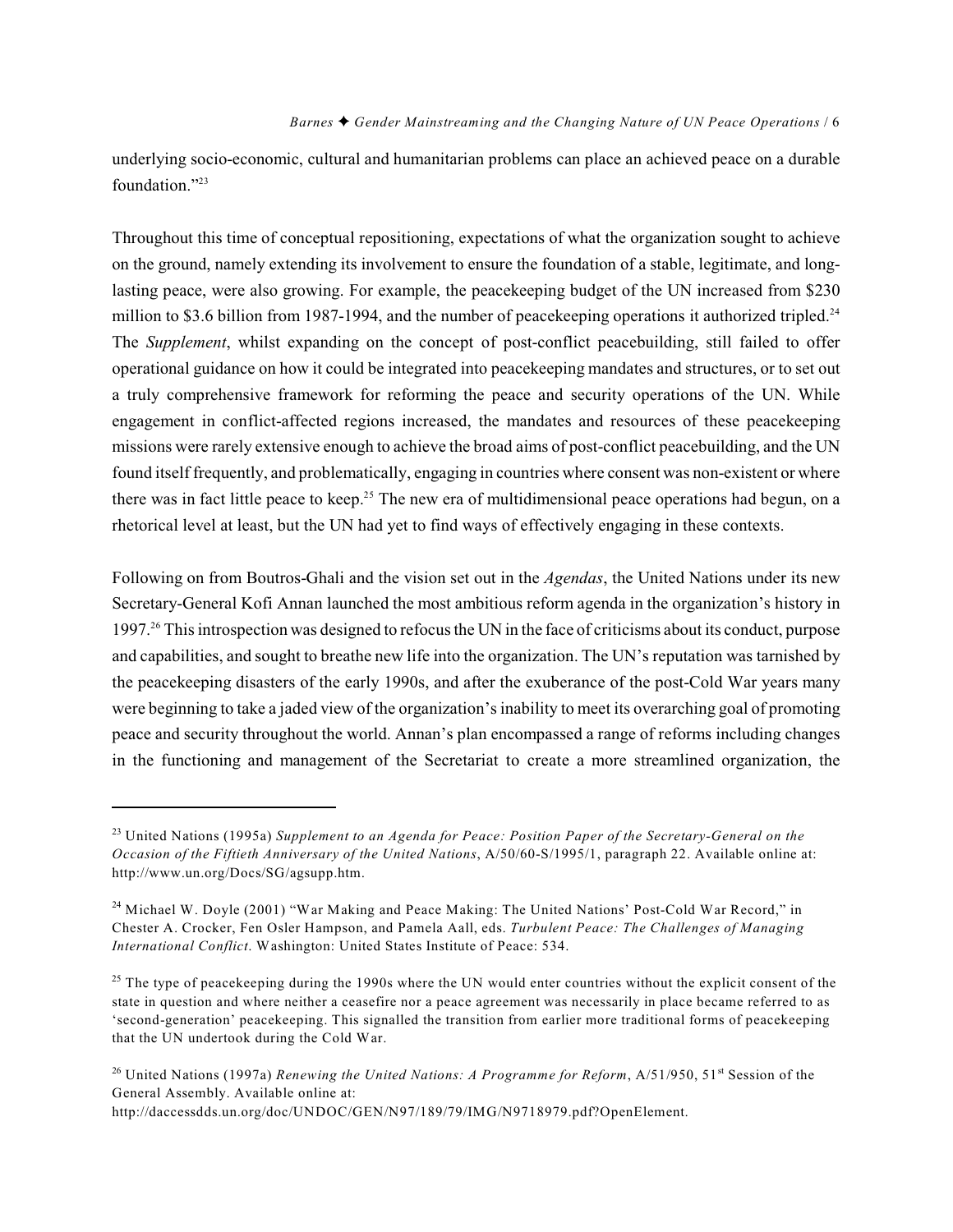underlying socio-economic, cultural and humanitarian problems can place an achieved peace on a durable foundation."<sup>23</sup>

Throughout this time of conceptual repositioning, expectations of what the organization sought to achieve on the ground, namely extending its involvement to ensure the foundation of a stable, legitimate, and longlasting peace, were also growing. For example, the peacekeeping budget of the UN increased from \$230 million to \$3.6 billion from 1987-1994, and the number of peacekeeping operations it authorized tripled.<sup>24</sup> The *Supplement*, whilst expanding on the concept of post-conflict peacebuilding, still failed to offer operational guidance on how it could be integrated into peacekeeping mandates and structures, or to set out a truly comprehensive framework for reforming the peace and security operations of the UN. While engagement in conflict-affected regions increased, the mandates and resources of these peacekeeping missions were rarely extensive enough to achieve the broad aims of post-conflict peacebuilding, and the UN found itself frequently, and problematically, engaging in countries where consent was non-existent or where there was in fact little peace to keep.<sup>25</sup> The new era of multidimensional peace operations had begun, on a rhetorical level at least, but the UN had yet to find ways of effectively engaging in these contexts.

Following on from Boutros-Ghali and the vision set out in the *Agendas*, the United Nations under its new Secretary-General Kofi Annan launched the most ambitious reform agenda in the organization's history in 1997.<sup>26</sup> This introspection was designed to refocus the UN in the face of criticisms about its conduct, purpose and capabilities, and sought to breathe new life into the organization. The UN's reputation was tarnished by the peacekeeping disasters of the early 1990s, and after the exuberance of the post-Cold War years many were beginning to take a jaded view of the organization's inability to meet its overarching goal of promoting peace and security throughout the world. Annan's plan encompassed a range of reforms including changes in the functioning and management of the Secretariat to create a more streamlined organization, the

http://daccessdds.un.org/doc/UNDOC/GEN/N97/189/79/IMG/N9718979.pdf?OpenElement.

<sup>&</sup>lt;sup>23</sup> United Nations (1995a) Supplement to an Agenda for Peace: Position Paper of the Secretary-General on the *Occasion of the Fiftieth Anniversary of the United Nations*, A/50/60-S/1995/1, paragraph 22. Available online at: http://www.un.org/Docs/SG/agsupp.htm.

 $24$  Michael W. Doyle (2001) "War Making and Peace Making: The United Nations' Post-Cold War Record," in Chester A. Crocker, Fen Osler Hampson, and Pamela Aall, eds. *Turbulent Peace: The Challenges of Managing International Conflict*. Washington: United States Institute of Peace: 534.

 $25$  The type of peacekeeping during the 1990s where the UN would enter countries without the explicit consent of the state in question and where neither a ceasefire nor a peace agreement was necessarily in place became referred to as 'second-generation' peacekeeping. This signalled the transition from earlier more traditional forms of peacekeeping that the UN undertook during the Cold War.

<sup>&</sup>lt;sup>26</sup> United Nations (1997a) *Renewing the United Nations: A Programme for Reform*, A/51/950, 51<sup>st</sup> Session of the General Assembly. Available online at: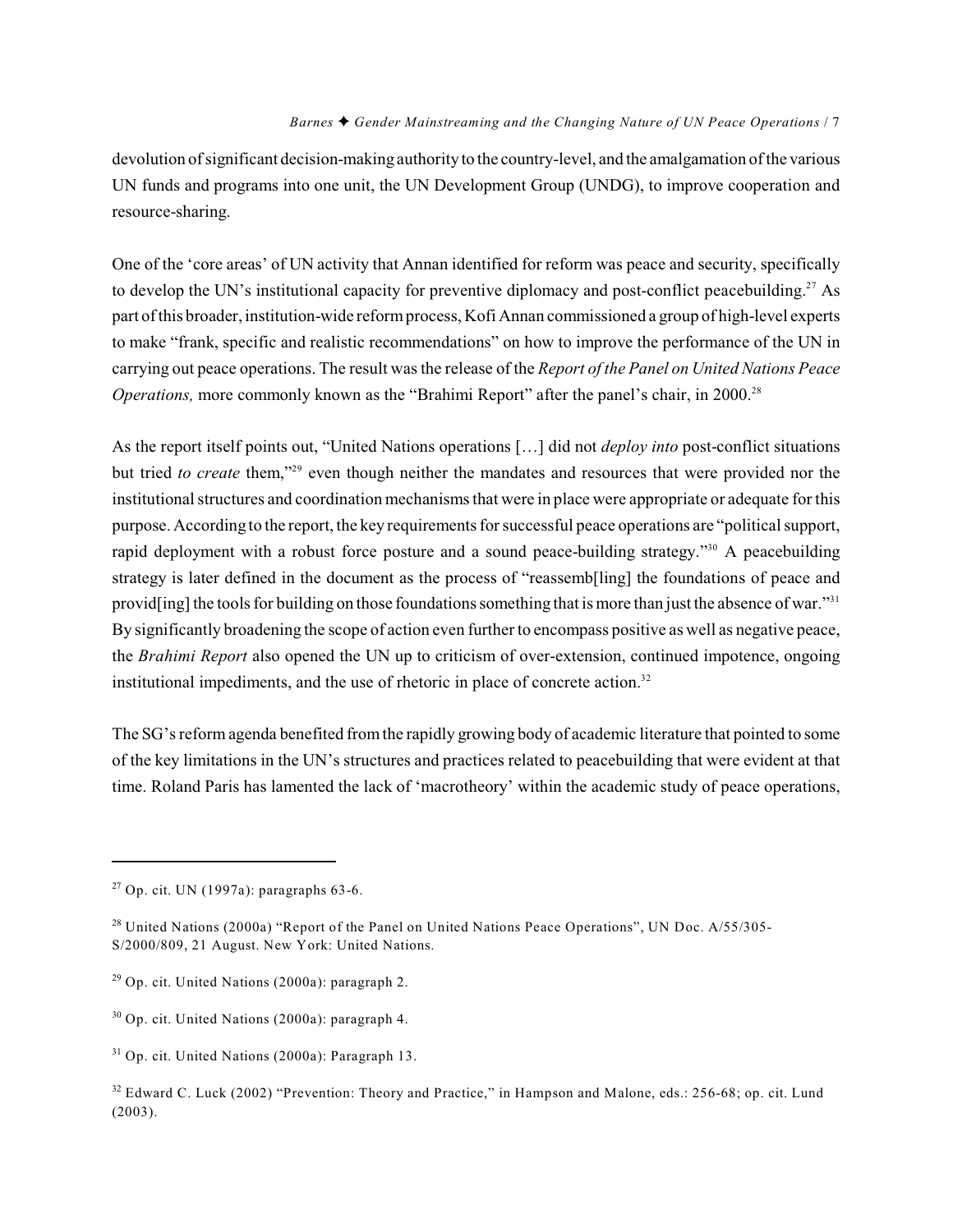devolution of significant decision-making authority to the country-level, and the amalgamation of the various UN funds and programs into one unit, the UN Development Group (UNDG), to improve cooperation and resource-sharing.

One of the 'core areas' of UN activity that Annan identified for reform was peace and security, specifically to develop the UN's institutional capacity for preventive diplomacy and post-conflict peacebuilding.<sup>27</sup> As part of this broader, institution-wide reform process, Kofi Annan commissioned a group of high-level experts to make "frank, specific and realistic recommendations" on how to improve the performance of the UN in carrying out peace operations. The result was the release of the *Report of the Panel on United Nations Peace Operations*, more commonly known as the "Brahimi Report" after the panel's chair, in 2000.<sup>28</sup>

As the report itself points out, "United Nations operations […] did not *deploy into* post-conflict situations but tried *to create* them,"<sup>29</sup> even though neither the mandates and resources that were provided nor the institutional structures and coordination mechanisms that were in place were appropriate or adequate for this purpose. According to the report, the key requirementsfor successful peace operations are "political support, rapid deployment with a robust force posture and a sound peace-building strategy."<sup>30</sup> A peacebuilding strategy is later defined in the document as the process of "reassemb[ling] the foundations of peace and provid[ing] the tools for building on those foundations something that is more than just the absence of war."<sup>31</sup> By significantly broadening the scope of action even further to encompass positive as well as negative peace, the *Brahimi Report* also opened the UN up to criticism of over-extension, continued impotence, ongoing institutional impediments, and the use of rhetoric in place of concrete action.<sup>32</sup>

The SG's reform agenda benefited from the rapidly growing body of academic literature that pointed to some of the key limitations in the UN's structures and practices related to peacebuilding that were evident at that time. Roland Paris has lamented the lack of 'macrotheory' within the academic study of peace operations,

 $27$  Op. cit. UN (1997a): paragraphs 63-6.

<sup>&</sup>lt;sup>28</sup> United Nations (2000a) "Report of the Panel on United Nations Peace Operations", UN Doc. A/55/305-S/2000/809, 21 August. New York: United Nations.

 $29$  Op. cit. United Nations (2000a): paragraph 2.

 $30$  Op. cit. United Nations (2000a): paragraph 4.

 $31$  Op. cit. United Nations (2000a): Paragraph 13.

<sup>&</sup>lt;sup>32</sup> Edward C. Luck (2002) "Prevention: Theory and Practice," in Hampson and Malone, eds.: 256-68; op. cit. Lund (2003).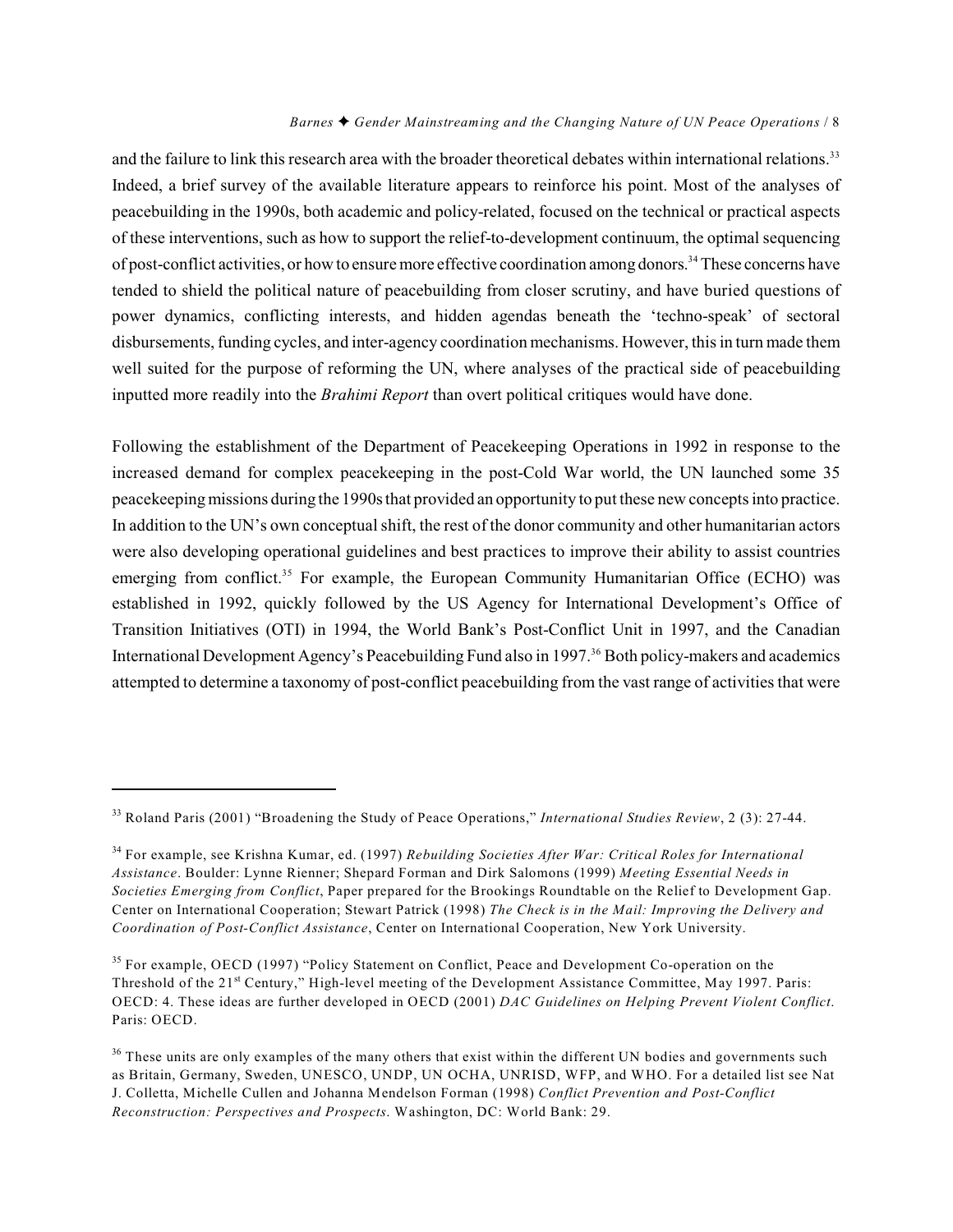and the failure to link this research area with the broader theoretical debates within international relations.<sup>33</sup> Indeed, a brief survey of the available literature appears to reinforce his point. Most of the analyses of peacebuilding in the 1990s, both academic and policy-related, focused on the technical or practical aspects of these interventions, such as how to support the relief-to-development continuum, the optimal sequencing of post-conflict activities, or how to ensure more effective coordination among donors.<sup>34</sup> These concerns have tended to shield the political nature of peacebuilding from closer scrutiny, and have buried questions of power dynamics, conflicting interests, and hidden agendas beneath the 'techno-speak' of sectoral disbursements, funding cycles, and inter-agency coordination mechanisms. However, this in turn made them well suited for the purpose of reforming the UN, where analyses of the practical side of peacebuilding inputted more readily into the *Brahimi Report* than overt political critiques would have done.

Following the establishment of the Department of Peacekeeping Operations in 1992 in response to the increased demand for complex peacekeeping in the post-Cold War world, the UN launched some 35 peacekeeping missions during the 1990s that provided an opportunity to put these new concepts into practice. In addition to the UN's own conceptual shift, the rest of the donor community and other humanitarian actors were also developing operational guidelines and best practices to improve their ability to assist countries emerging from conflict.<sup>35</sup> For example, the European Community Humanitarian Office (ECHO) was established in 1992, quickly followed by the US Agency for International Development's Office of Transition Initiatives (OTI) in 1994, the World Bank's Post-Conflict Unit in 1997, and the Canadian International Development Agency's Peacebuilding Fund also in 1997.<sup>36</sup> Both policy-makers and academics attempted to determine a taxonomy of post-conflict peacebuilding from the vast range of activities that were

<sup>&</sup>lt;sup>33</sup> Roland Paris (2001) "Broadening the Study of Peace Operations," *International Studies Review*, 2 (3): 27-44.

<sup>&</sup>lt;sup>34</sup> For example, see Krishna Kumar, ed. (1997) *Rebuilding Societies After War: Critical Roles for International Assistance*. Boulder: Lynne Rienner; Shepard Forman and Dirk Salomons (1999) *Meeting Essential Needs in Societies Emerging from Conflict*, Paper prepared for the Brookings Roundtable on the Relief to Development Gap. Center on International Cooperation; Stewart Patrick (1998) *The Check is in the Mail: Improving the Delivery and Coordination of Post-Conflict Assistance*, Center on International Cooperation, New York University.

<sup>&</sup>lt;sup>35</sup> For example, OECD (1997) "Policy Statement on Conflict, Peace and Development Co-operation on the Threshold of the 21<sup>st</sup> Century," High-level meeting of the Development Assistance Committee, May 1997. Paris: OECD: 4. These ideas are further developed in OECD (2001) *DAC Guidelines on Helping Prevent Violent Conflict*. Paris: OECD.

 $36$  These units are only examples of the many others that exist within the different UN bodies and governments such as Britain, Germany, Sweden, UNESCO, UNDP, UN OCHA, UNRISD, WFP, and WHO. For a detailed list see Nat J. Colletta, Michelle Cullen and Johanna Mendelson Forman (1998) *Conflict Prevention and Post-Conflict Reconstruction: Perspectives and Prospects*. Washington, DC: World Bank: 29.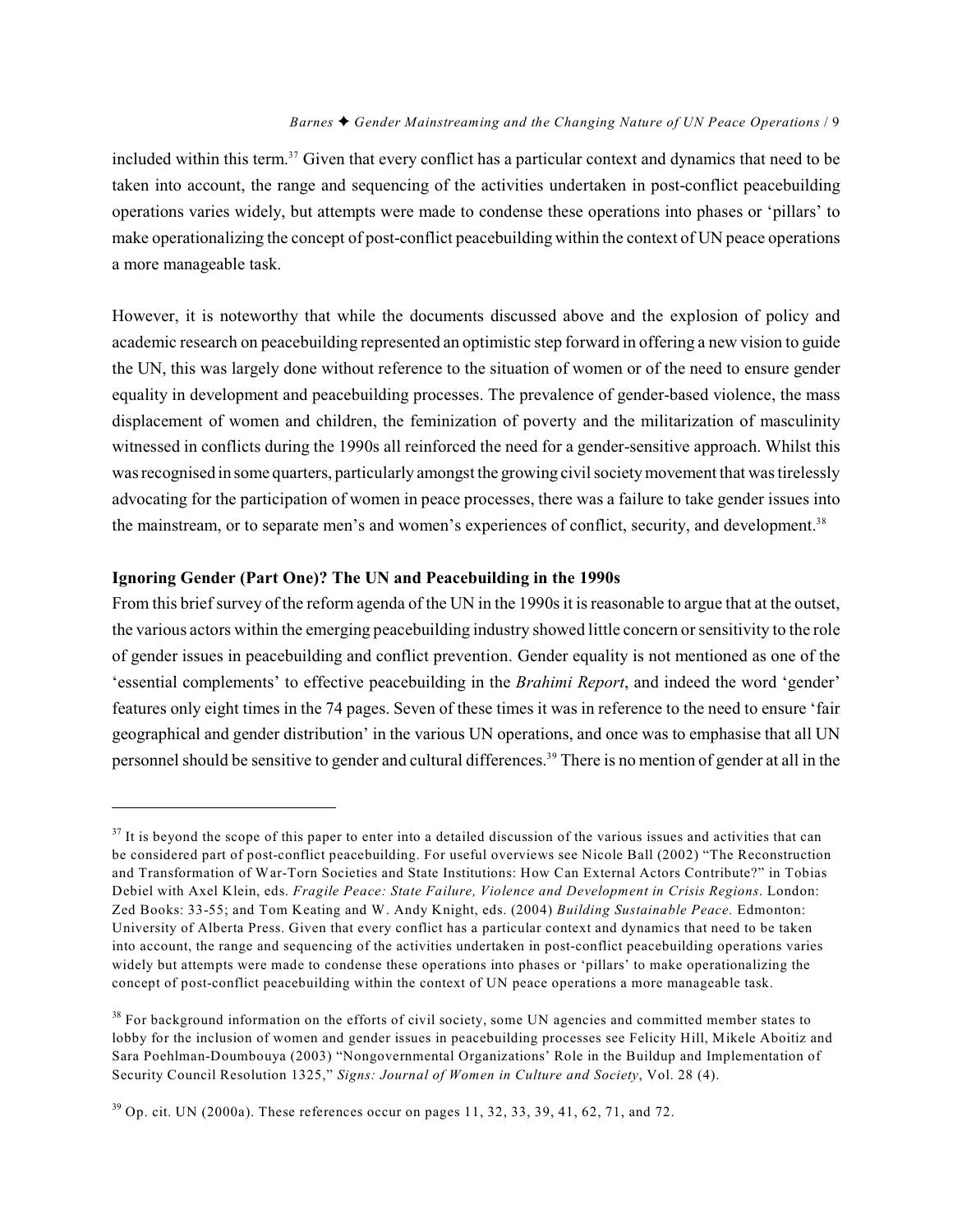included within this term.<sup>37</sup> Given that every conflict has a particular context and dynamics that need to be taken into account, the range and sequencing of the activities undertaken in post-conflict peacebuilding operations varies widely, but attempts were made to condense these operations into phases or 'pillars' to make operationalizing the concept of post-conflict peacebuilding within the context of UN peace operations a more manageable task.

However, it is noteworthy that while the documents discussed above and the explosion of policy and academic research on peacebuilding represented an optimistic step forward in offering a new vision to guide the UN, this was largely done without reference to the situation of women or of the need to ensure gender equality in development and peacebuilding processes. The prevalence of gender-based violence, the mass displacement of women and children, the feminization of poverty and the militarization of masculinity witnessed in conflicts during the 1990s all reinforced the need for a gender-sensitive approach. Whilst this wasrecognised in some quarters, particularly amongst the growing civil society movement that was tirelessly advocating for the participation of women in peace processes, there was a failure to take gender issues into the mainstream, or to separate men's and women's experiences of conflict, security, and development.<sup>38</sup>

#### **Ignoring Gender (Part One)? The UN and Peacebuilding in the 1990s**

From this brief survey of the reform agenda of the UN in the 1990s it is reasonable to argue that at the outset, the various actors within the emerging peacebuilding industry showed little concern or sensitivity to the role of gender issues in peacebuilding and conflict prevention. Gender equality is not mentioned as one of the 'essential complements' to effective peacebuilding in the *Brahimi Report*, and indeed the word 'gender' features only eight times in the 74 pages. Seven of these times it was in reference to the need to ensure 'fair geographical and gender distribution' in the various UN operations, and once was to emphasise that all UN personnel should be sensitive to gender and cultural differences.<sup>39</sup> There is no mention of gender at all in the

 $37$  It is beyond the scope of this paper to enter into a detailed discussion of the various issues and activities that can be considered part of post-conflict peacebuilding. For useful overviews see Nicole Ball (2002) "The Reconstruction and Transformation of War-Torn Societies and State Institutions: How Can External Actors Contribute?" in Tobias Debiel with Axel Klein, eds. *Fragile Peace: State Failure, Violence and Development in Crisis Regions*. London: Zed Books: 33-55; and Tom Keating and W. Andy Knight, eds. (2004) *Building Sustainable Peace.* Edmonton: University of Alberta Press. Given that every conflict has a particular context and dynamics that need to be taken into account, the range and sequencing of the activities undertaken in post-conflict peacebuilding operations varies widely but attempts were made to condense these operations into phases or 'pillars' to make operationalizing the concept of post-conflict peacebuilding within the context of UN peace operations a more manageable task.

<sup>&</sup>lt;sup>38</sup> For background information on the efforts of civil society, some UN agencies and committed member states to lobby for the inclusion of women and gender issues in peacebuilding processes see Felicity Hill, Mikele Aboitiz and Sara Poehlman-Doumbouya (2003) "Nongovernmental Organizations' Role in the Buildup and Implementation of Security Council Resolution 1325," *Signs: Journal of Women in Culture and Society*, Vol. 28 (4).

 $39$  Op. cit. UN (2000a). These references occur on pages 11, 32, 33, 39, 41, 62, 71, and 72.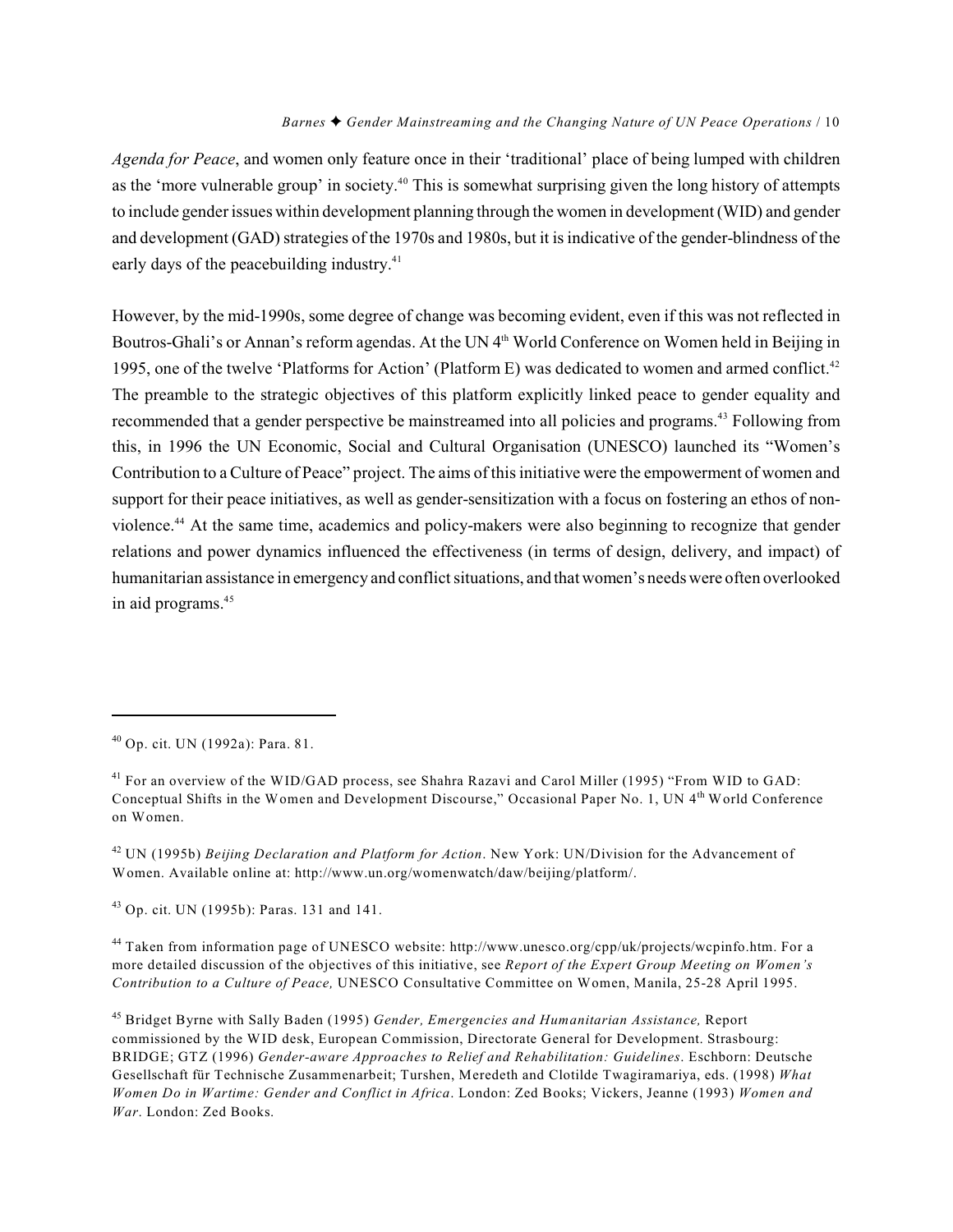*Agenda for Peace*, and women only feature once in their 'traditional' place of being lumped with children as the 'more vulnerable group' in society.<sup>40</sup> This is somewhat surprising given the long history of attempts to include gender issues within development planning through the women in development (WID) and gender and development (GAD) strategies of the 1970s and 1980s, but it is indicative of the gender-blindness of the early days of the peacebuilding industry.<sup>41</sup>

However, by the mid-1990s, some degree of change was becoming evident, even if this was not reflected in Boutros-Ghali's or Annan's reform agendas. At the UN 4<sup>th</sup> World Conference on Women held in Beijing in 1995, one of the twelve 'Platforms for Action' (Platform E) was dedicated to women and armed conflict.<sup>42</sup> The preamble to the strategic objectives of this platform explicitly linked peace to gender equality and recommended that a gender perspective be mainstreamed into all policies and programs.<sup>43</sup> Following from this, in 1996 the UN Economic, Social and Cultural Organisation (UNESCO) launched its "Women's Contribution to a Culture of Peace" project. The aims of this initiative were the empowerment of women and support for their peace initiatives, as well as gender-sensitization with a focus on fostering an ethos of nonviolence.<sup>44</sup> At the same time, academics and policy-makers were also beginning to recognize that gender relations and power dynamics influenced the effectiveness (in terms of design, delivery, and impact) of humanitarian assistance in emergency and conflict situations, and that women's needswere often overlooked in aid programs.45

<sup>42</sup> UN (1995b) *Beijing Declaration and Platform for Action*. New York: UN/Division for the Advancement of Women. Available online at: http://www.un.org/womenwatch/daw/beijing/platform/.

<sup>43</sup> Op. cit. UN (1995b): Paras. 131 and 141.

<sup>44</sup> Taken from information page of UNESCO website: http://www.unesco.org/cpp/uk/projects/wcpinfo.htm. For a more detailed discussion of the objectives of this initiative, see *Report of the Expert Group Meeting on Women's Contribution to a Culture of Peace,* UNESCO Consultative Committee on Women, Manila, 25-28 April 1995.

<sup>45</sup> Bridget Byrne with Sally Baden (1995) *Gender, Emergencies and Humanitarian Assistance*, Report commissioned by the WID desk, European Commission, Directorate General for Development. Strasbourg: BRIDGE; GTZ (1996) *Gender-aware Approaches to Relief and Rehabilitation: Guidelines*. Eschborn: Deutsche Gesellschaft für Technische Zusammenarbeit; Turshen, Meredeth and Clotilde Twagiramariya, eds. (1998) *What Women Do in Wartime: Gender and Conflict in Africa*. London: Zed Books; Vickers, Jeanne (1993) *Women and War*. London: Zed Books.

 $^{40}$  Op. cit. UN (1992a): Para. 81.

<sup>&</sup>lt;sup>41</sup> For an overview of the WID/GAD process, see Shahra Razavi and Carol Miller (1995) "From WID to GAD: Conceptual Shifts in the Women and Development Discourse," Occasional Paper No. 1, UN 4<sup>th</sup> World Conference on Women.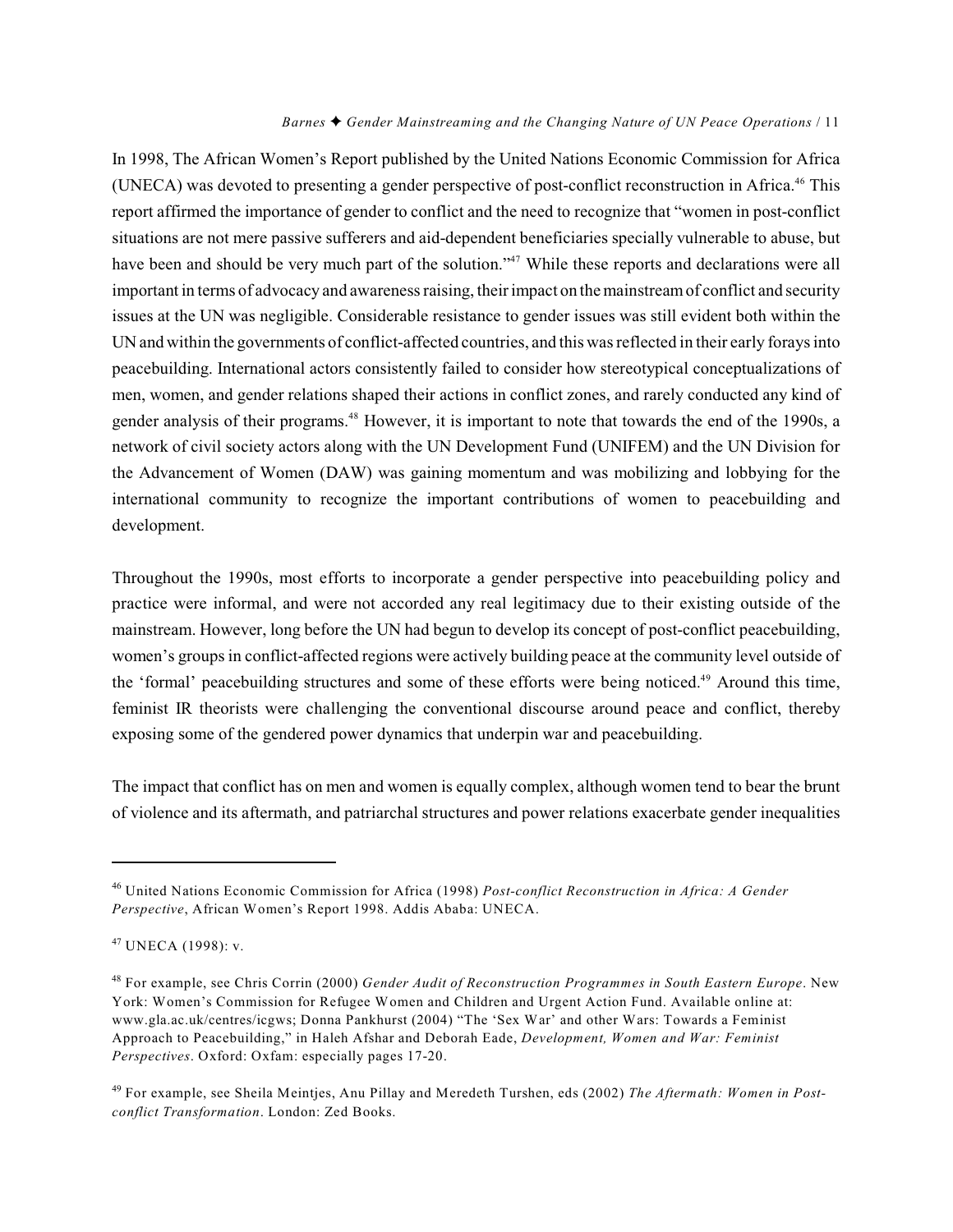In 1998, The African Women's Report published by the United Nations Economic Commission for Africa (UNECA) was devoted to presenting a gender perspective of post-conflict reconstruction in Africa.<sup>46</sup> This report affirmed the importance of gender to conflict and the need to recognize that "women in post-conflict situations are not mere passive sufferers and aid-dependent beneficiaries specially vulnerable to abuse, but have been and should be very much part of the solution."<sup>47</sup> While these reports and declarations were all important in terms of advocacy and awareness raising, their impact on the mainstreamof conflict and security issues at the UN was negligible. Considerable resistance to gender issues was still evident both within the UN and within the governments of conflict-affected countries, and this was reflected in their early forays into peacebuilding. International actors consistently failed to consider how stereotypical conceptualizations of men, women, and gender relations shaped their actions in conflict zones, and rarely conducted any kind of gender analysis of their programs.<sup>48</sup> However, it is important to note that towards the end of the 1990s, a network of civil society actors along with the UN Development Fund (UNIFEM) and the UN Division for the Advancement of Women (DAW) was gaining momentum and was mobilizing and lobbying for the international community to recognize the important contributions of women to peacebuilding and development.

Throughout the 1990s, most efforts to incorporate a gender perspective into peacebuilding policy and practice were informal, and were not accorded any real legitimacy due to their existing outside of the mainstream. However, long before the UN had begun to develop its concept of post-conflict peacebuilding, women's groups in conflict-affected regions were actively building peace at the community level outside of the 'formal' peacebuilding structures and some of these efforts were being noticed.<sup>49</sup> Around this time, feminist IR theorists were challenging the conventional discourse around peace and conflict, thereby exposing some of the gendered power dynamics that underpin war and peacebuilding.

The impact that conflict has on men and women is equally complex, although women tend to bear the brunt of violence and its aftermath, and patriarchal structures and power relations exacerbate gender inequalities

United Nations Economic Commission for Africa (1998) *Post-conflict Reconstruction in Africa: A Gender* <sup>46</sup> *Perspective*, African Women's Report 1998. Addis Ababa: UNECA.

 $47$  UNECA (1998): v.

<sup>&</sup>lt;sup>48</sup> For example, see Chris Corrin (2000) *Gender Audit of Reconstruction Programmes in South Eastern Europe*. New York: Women's Commission for Refugee Women and Children and Urgent Action Fund. Available online at: www.gla.ac.uk/centres/icgws; Donna Pankhurst (2004) "The 'Sex War' and other Wars: Towards a Feminist Approach to Peacebuilding," in Haleh Afshar and Deborah Eade, *Development, Women and War: Feminist Perspectives*. Oxford: Oxfam: especially pages 17-20.

For example, see Sheila Meintjes, Anu Pillay and Meredeth Turshen, eds (2002) *The Aftermath: Women in Post-* <sup>49</sup> *conflict Transformation*. London: Zed Books.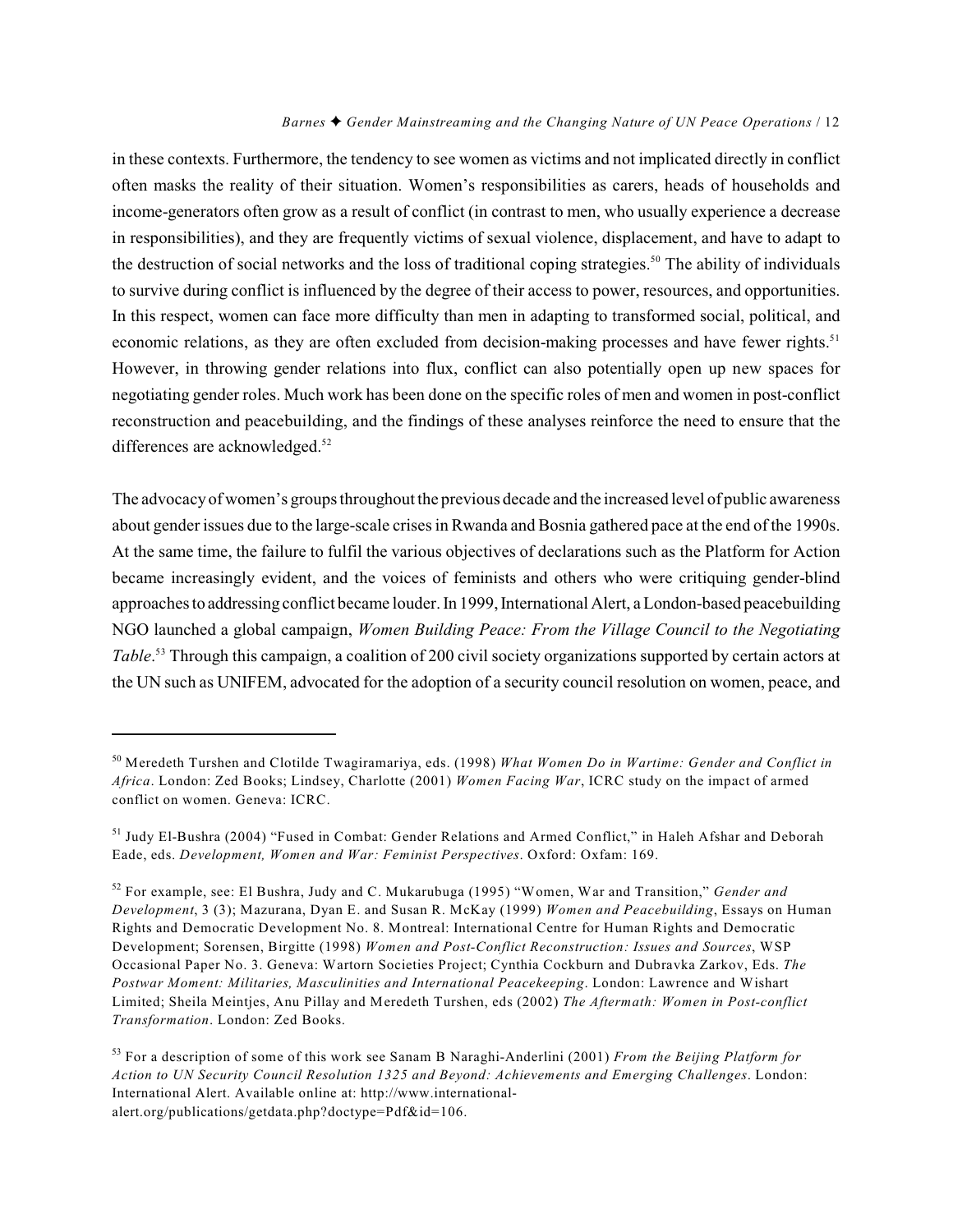in these contexts. Furthermore, the tendency to see women as victims and not implicated directly in conflict often masks the reality of their situation. Women's responsibilities as carers, heads of households and income-generators often grow as a result of conflict (in contrast to men, who usually experience a decrease in responsibilities), and they are frequently victims of sexual violence, displacement, and have to adapt to the destruction of social networks and the loss of traditional coping strategies.<sup>50</sup> The ability of individuals to survive during conflict is influenced by the degree of their access to power, resources, and opportunities. In this respect, women can face more difficulty than men in adapting to transformed social, political, and economic relations, as they are often excluded from decision-making processes and have fewer rights.<sup>51</sup> However, in throwing gender relations into flux, conflict can also potentially open up new spaces for negotiating gender roles. Much work has been done on the specific roles of men and women in post-conflict reconstruction and peacebuilding, and the findings of these analyses reinforce the need to ensure that the differences are acknowledged.<sup>52</sup>

The advocacy of women's groups throughout the previous decade and the increased level of public awareness about gender issues due to the large-scale crises in Rwanda and Bosnia gathered pace at the end of the 1990s. At the same time, the failure to fulfil the various objectives of declarations such as the Platform for Action became increasingly evident, and the voices of feminists and others who were critiquing gender-blind approaches to addressing conflict became louder. In 1999, International Alert, a London-based peacebuilding NGO launched a global campaign, *Women Building Peace: From the Village Council to the Negotiating Table*.<sup>53</sup> Through this campaign, a coalition of 200 civil society organizations supported by certain actors at the UN such as UNIFEM, advocated for the adoption of a security council resolution on women, peace, and

Meredeth Turshen and Clotilde Twagiramariya, eds. (1998) *What Women Do in Wartime: Gender and Conflict in* 50 *Africa*. London: Zed Books; Lindsey, Charlotte (2001) *Women Facing War*, ICRC study on the impact of armed conflict on women. Geneva: ICRC.

<sup>&</sup>lt;sup>51</sup> Judy El-Bushra (2004) "Fused in Combat: Gender Relations and Armed Conflict," in Haleh Afshar and Deborah Eade, eds. *Development, Women and War: Feminist Perspectives*. Oxford: Oxfam: 169.

<sup>&</sup>lt;sup>52</sup> For example, see: El Bushra, Judy and C. Mukarubuga (1995) "Women, War and Transition," *Gender and Development*, 3 (3); Mazurana, Dyan E. and Susan R. McKay (1999) *Women and Peacebuilding*, Essays on Human Rights and Democratic Development No. 8. Montreal: International Centre for Human Rights and Democratic Development; Sorensen, Birgitte (1998) *Women and Post-Conflict Reconstruction: Issues and Sources*, WSP Occasional Paper No. 3. Geneva: Wartorn Societies Project; Cynthia Cockburn and Dubravka Zarkov, Eds. *The Postwar Moment: Militaries, Masculinities and International Peacekeeping*. London: Lawrence and Wishart Limited; Sheila Meintjes, Anu Pillay and Meredeth Turshen, eds (2002) *The Aftermath: Women in Post-conflict Transformation*. London: Zed Books.

For a description of some of this work see Sanam B Naraghi-Anderlini (2001) *From the Beijing Platform for* <sup>53</sup> *Action to UN Security Council Resolution 1325 and Beyond: Achievements and Emerging Challenges*. London: International Alert. Available online at: http://www.internationalalert.org/publications/getdata.php?doctype=Pdf&id=106.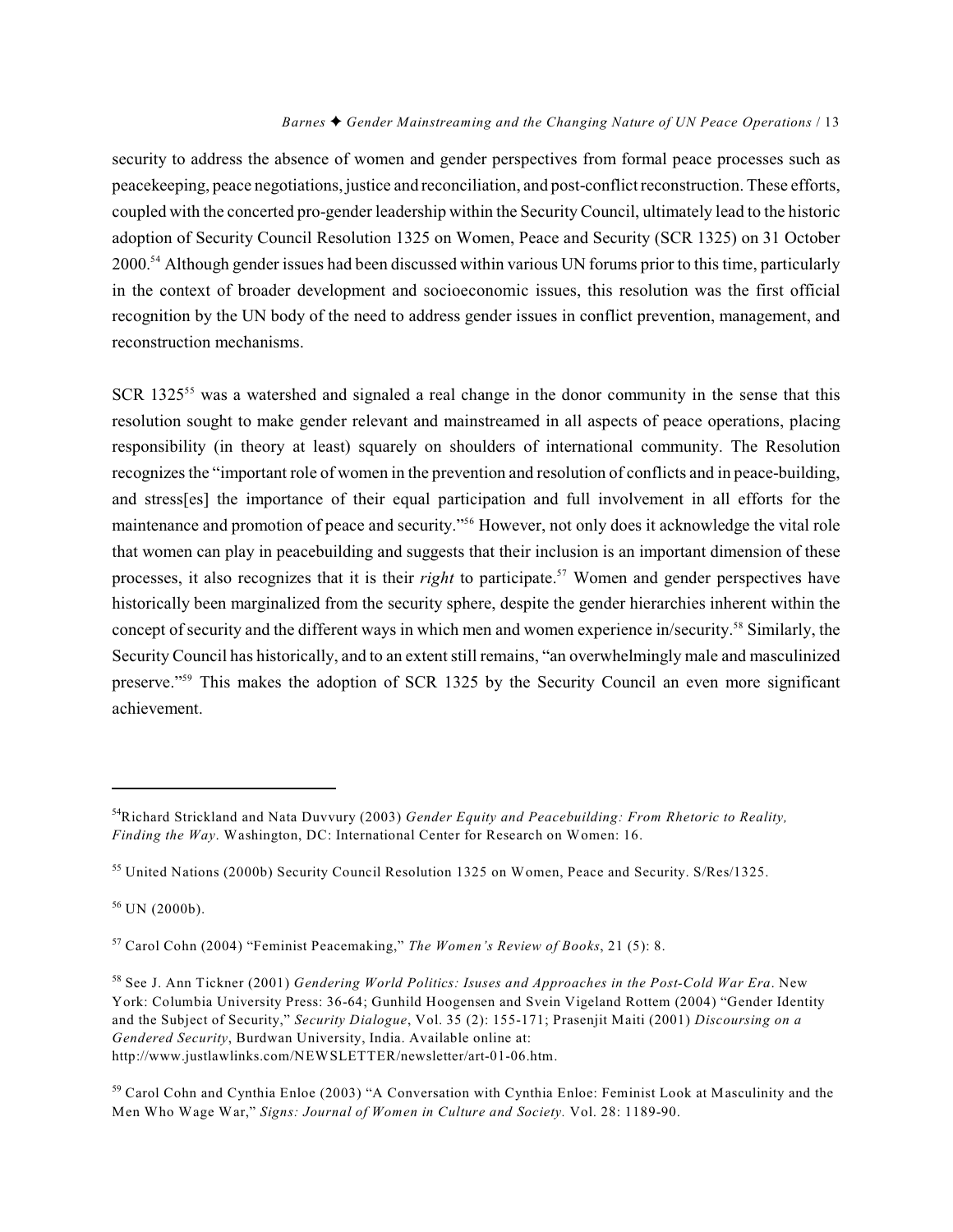security to address the absence of women and gender perspectives from formal peace processes such as peacekeeping, peace negotiations, justice and reconciliation, and post-conflict reconstruction. These efforts, coupled with the concerted pro-gender leadership within the SecurityCouncil, ultimately lead to the historic adoption of Security Council Resolution 1325 on Women, Peace and Security (SCR 1325) on 31 October 2000.<sup>54</sup> Although gender issues had been discussed within various UN forums prior to this time, particularly in the context of broader development and socioeconomic issues, this resolution was the first official recognition by the UN body of the need to address gender issues in conflict prevention, management, and reconstruction mechanisms.

SCR  $1325^{55}$  was a watershed and signaled a real change in the donor community in the sense that this resolution sought to make gender relevant and mainstreamed in all aspects of peace operations, placing responsibility (in theory at least) squarely on shoulders of international community. The Resolution recognizes the "important role of women in the prevention and resolution of conflicts and in peace-building, and stress[es] the importance of their equal participation and full involvement in all efforts for the maintenance and promotion of peace and security."<sup>56</sup> However, not only does it acknowledge the vital role that women can play in peacebuilding and suggests that their inclusion is an important dimension of these processes, it also recognizes that it is their *right* to participate.<sup>57</sup> Women and gender perspectives have historically been marginalized from the security sphere, despite the gender hierarchies inherent within the concept of security and the different ways in which men and women experience in/security.<sup>58</sup> Similarly, the Security Council has historically, and to an extent still remains, "an overwhelmingly male and masculinized preserve."<sup>59</sup> This makes the adoption of SCR 1325 by the Security Council an even more significant achievement.

Richard Strickland and Nata Duvvury (2003) *Gender Equity and Peacebuilding: From Rhetoric to Reality,* <sup>54</sup> *Finding the Way*. Washington, DC: International Center for Research on Women: 16.

<sup>&</sup>lt;sup>55</sup> United Nations (2000b) Security Council Resolution 1325 on Women, Peace and Security. S/Res/1325.

 $56$  UN (2000b).

<sup>&</sup>lt;sup>57</sup> Carol Cohn (2004) "Feminist Peacemaking," *The Women's Review of Books*, 21 (5): 8.

<sup>&</sup>lt;sup>58</sup> See J. Ann Tickner (2001) *Gendering World Politics: Isuses and Approaches in the Post-Cold War Era*. New York: Columbia University Press: 36-64; Gunhild Hoogensen and Svein Vigeland Rottem (2004) "Gender Identity and the Subject of Security," *Security Dialogue*, Vol. 35 (2): 155-171; Prasenjit Maiti (2001) *Discoursing on a Gendered Security*, Burdwan University, India. Available online at: http://www.justlawlinks.com/NEWSLETTER/newsletter/art-01-06.htm.

<sup>&</sup>lt;sup>59</sup> Carol Cohn and Cynthia Enloe (2003) "A Conversation with Cynthia Enloe: Feminist Look at Masculinity and the Men Who Wage War," *Signs: Journal of Women in Culture and Society.* Vol. 28: 1189-90.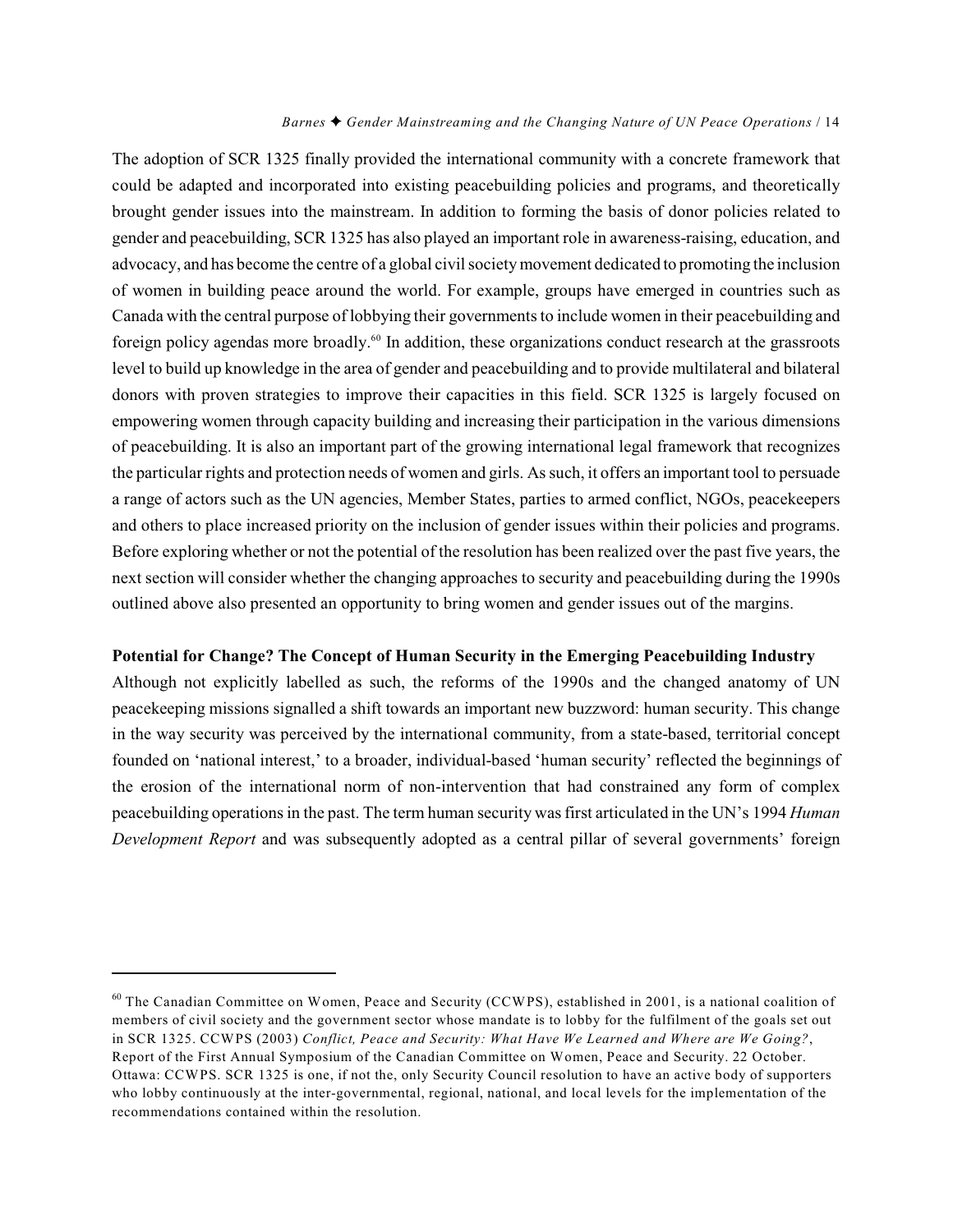The adoption of SCR 1325 finally provided the international community with a concrete framework that could be adapted and incorporated into existing peacebuilding policies and programs, and theoretically brought gender issues into the mainstream. In addition to forming the basis of donor policies related to gender and peacebuilding, SCR 1325 has also played an important role in awareness-raising, education, and advocacy, and has become the centre of a global civil society movement dedicated to promoting the inclusion of women in building peace around the world. For example, groups have emerged in countries such as Canada with the central purpose of lobbying their governments to include women in their peacebuilding and foreign policy agendas more broadly.<sup>60</sup> In addition, these organizations conduct research at the grassroots level to build up knowledge in the area of gender and peacebuilding and to provide multilateral and bilateral donors with proven strategies to improve their capacities in this field. SCR 1325 is largely focused on empowering women through capacity building and increasing their participation in the various dimensions of peacebuilding. It is also an important part of the growing international legal framework that recognizes the particular rights and protection needs of women and girls. As such, it offers an important tool to persuade a range of actors such as the UN agencies, Member States, parties to armed conflict, NGOs, peacekeepers and others to place increased priority on the inclusion of gender issues within their policies and programs. Before exploring whether or not the potential of the resolution has been realized over the past five years, the next section will consider whether the changing approaches to security and peacebuilding during the 1990s outlined above also presented an opportunity to bring women and gender issues out of the margins.

#### **Potential for Change? The Concept of Human Security in the Emerging Peacebuilding Industry**

Although not explicitly labelled as such, the reforms of the 1990s and the changed anatomy of UN peacekeeping missions signalled a shift towards an important new buzzword: human security. This change in the way security was perceived by the international community, from a state-based, territorial concept founded on 'national interest,' to a broader, individual-based 'human security' reflected the beginnings of the erosion of the international norm of non-intervention that had constrained any form of complex peacebuilding operations in the past. The term human security was first articulated in the UN's 1994 *Human Development Report* and was subsequently adopted as a central pillar of several governments' foreign

 $60$  The Canadian Committee on Women, Peace and Security (CCWPS), established in 2001, is a national coalition of members of civil society and the government sector whose mandate is to lobby for the fulfilment of the goals set out in SCR 1325. CCWPS (2003) *Conflict, Peace and Security: What Have We Learned and Where are We Going?*, Report of the First Annual Symposium of the Canadian Committee on Women, Peace and Security. 22 October. Ottawa: CCWPS. SCR 1325 is one, if not the, only Security Council resolution to have an active body of supporters who lobby continuously at the inter-governmental, regional, national, and local levels for the implementation of the recommendations contained within the resolution.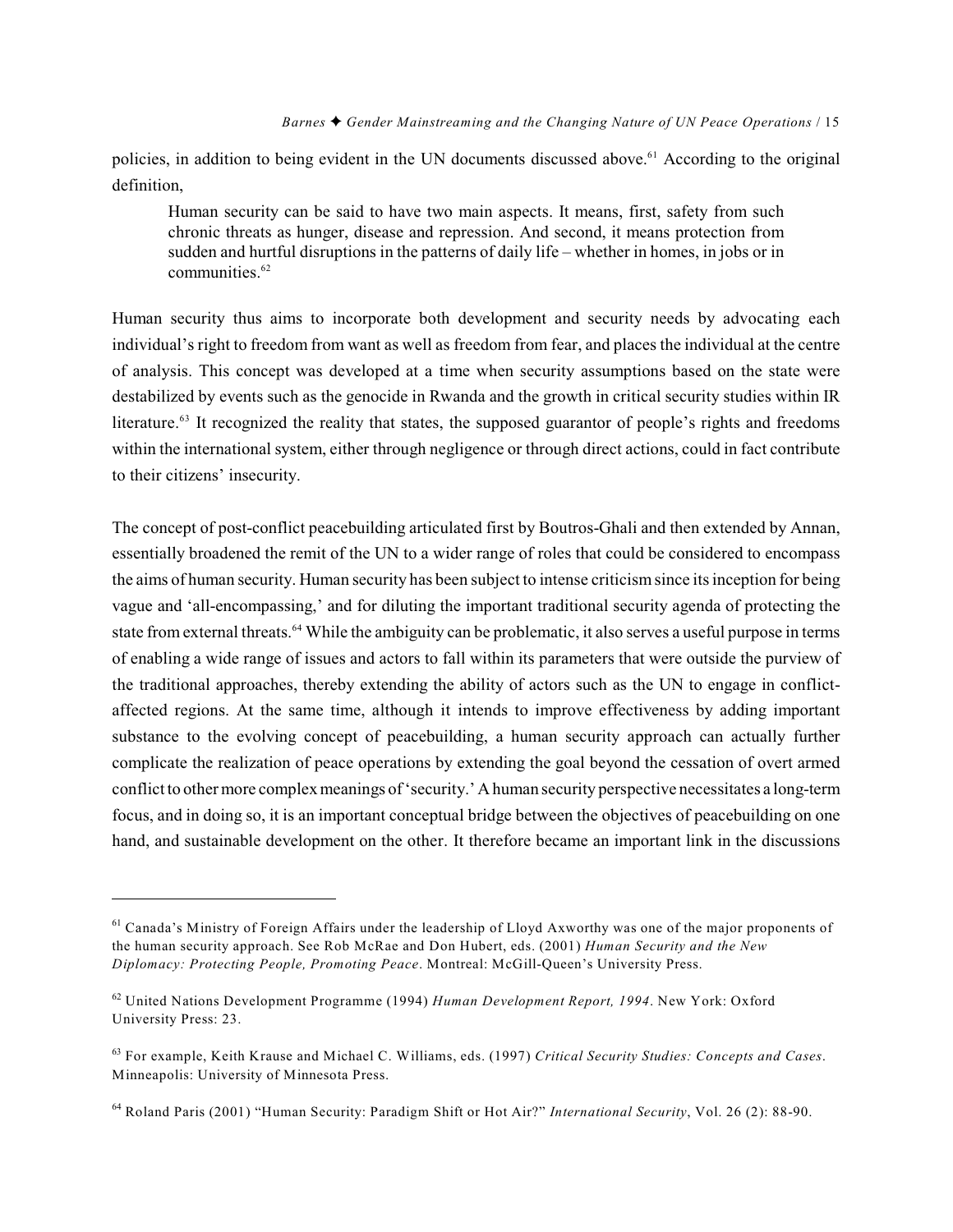policies, in addition to being evident in the UN documents discussed above.<sup> $61$ </sup> According to the original definition,

Human security can be said to have two main aspects. It means, first, safety from such chronic threats as hunger, disease and repression. And second, it means protection from sudden and hurtful disruptions in the patterns of daily life – whether in homes, in jobs or in communities.<sup>62</sup>

Human security thus aims to incorporate both development and security needs by advocating each individual's right to freedom from want as well as freedom from fear, and places the individual at the centre of analysis. This concept was developed at a time when security assumptions based on the state were destabilized by events such as the genocide in Rwanda and the growth in critical security studies within IR literature.<sup>63</sup> It recognized the reality that states, the supposed guarantor of people's rights and freedoms within the international system, either through negligence or through direct actions, could in fact contribute to their citizens' insecurity.

The concept of post-conflict peacebuilding articulated first by Boutros-Ghali and then extended by Annan, essentially broadened the remit of the UN to a wider range of roles that could be considered to encompass the aims of human security. Human security has been subject to intense criticism since its inception for being vague and 'all-encompassing,' and for diluting the important traditional security agenda of protecting the state from external threats.<sup>64</sup> While the ambiguity can be problematic, it also serves a useful purpose in terms of enabling a wide range of issues and actors to fall within its parameters that were outside the purview of the traditional approaches, thereby extending the ability of actors such as the UN to engage in conflictaffected regions. At the same time, although it intends to improve effectiveness by adding important substance to the evolving concept of peacebuilding, a human security approach can actually further complicate the realization of peace operations by extending the goal beyond the cessation of overt armed conflict to other more complex meanings of 'security.' A human security perspective necessitates a long-term focus, and in doing so, it is an important conceptual bridge between the objectives of peacebuilding on one hand, and sustainable development on the other. It therefore became an important link in the discussions

 $<sup>61</sup>$  Canada's Ministry of Foreign Affairs under the leadership of Lloyd Axworthy was one of the major proponents of</sup> the human security approach. See Rob McRae and Don Hubert, eds. (2001) *Human Security and the New Diplomacy: Protecting People, Promoting Peace*. Montreal: McGill-Queen's University Press.

<sup>&</sup>lt;sup>62</sup> United Nations Development Programme (1994) *Human Development Report, 1994*. New York: Oxford University Press: 23.

<sup>&</sup>lt;sup>63</sup> For example, Keith Krause and Michael C. Williams, eds. (1997) *Critical Security Studies: Concepts and Cases*. Minneapolis: University of Minnesota Press.

<sup>&</sup>lt;sup>64</sup> Roland Paris (2001) "Human Security: Paradigm Shift or Hot Air?" *International Security*, Vol. 26 (2): 88-90.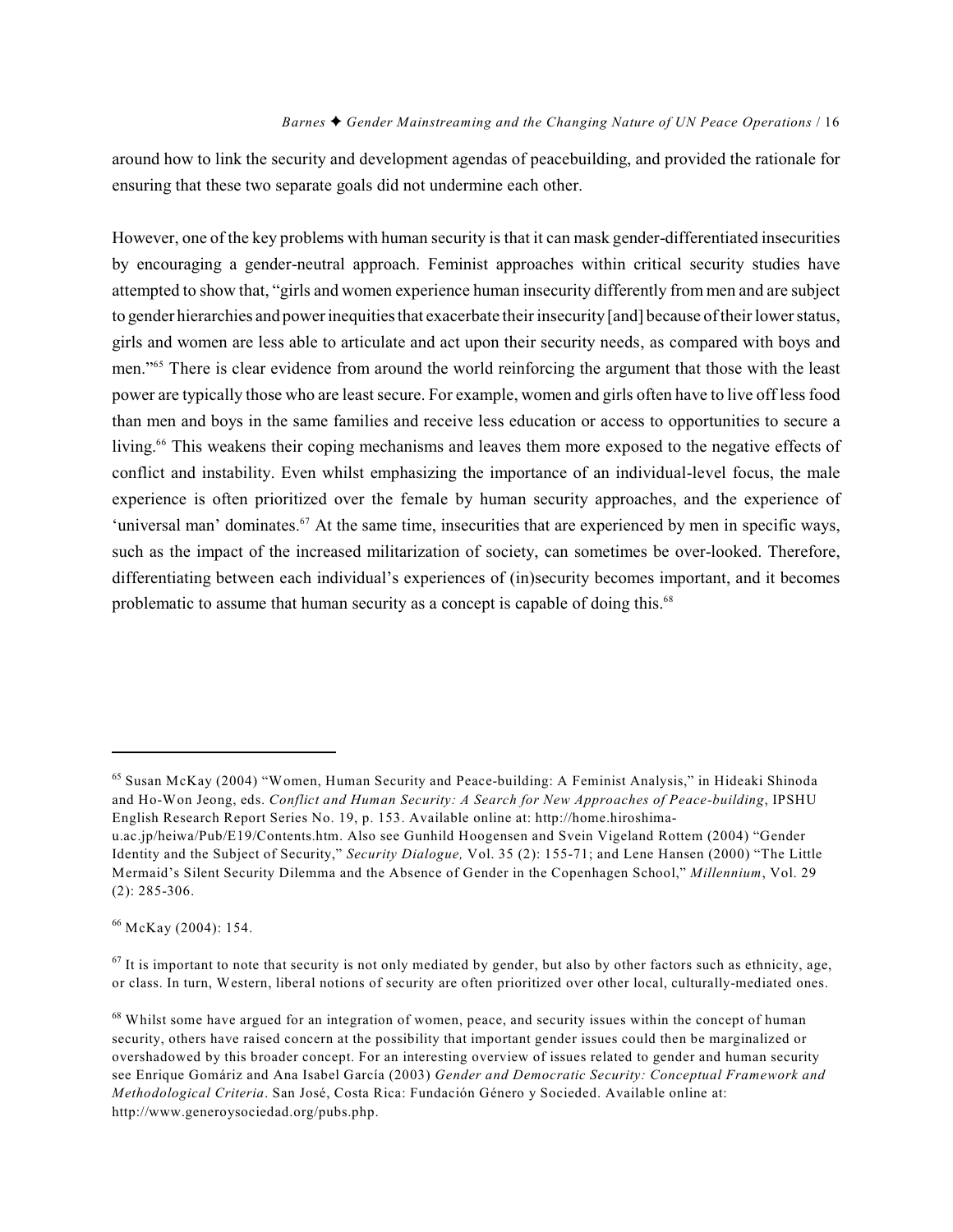around how to link the security and development agendas of peacebuilding, and provided the rationale for ensuring that these two separate goals did not undermine each other.

However, one of the key problems with human security is that it can mask gender-differentiated insecurities by encouraging a gender-neutral approach. Feminist approaches within critical security studies have attempted to show that, "girls and women experience human insecurity differently from men and are subject to gender hierarchies and power inequities that exacerbate their insecurity [and] because of their lower status, girls and women are less able to articulate and act upon their security needs, as compared with boys and men."<sup>65</sup> There is clear evidence from around the world reinforcing the argument that those with the least power are typically those who are least secure. For example, women and girls often have to live off less food than men and boys in the same families and receive less education or access to opportunities to secure a living.<sup>66</sup> This weakens their coping mechanisms and leaves them more exposed to the negative effects of conflict and instability. Even whilst emphasizing the importance of an individual-level focus, the male experience is often prioritized over the female by human security approaches, and the experience of 'universal man' dominates.  $67$  At the same time, insecurities that are experienced by men in specific ways, such as the impact of the increased militarization of society, can sometimes be over-looked. Therefore, differentiating between each individual's experiences of (in)security becomes important, and it becomes problematic to assume that human security as a concept is capable of doing this.<sup>68</sup>

 $66$  McKay (2004): 154.

 $<sup>67</sup>$  It is important to note that security is not only mediated by gender, but also by other factors such as ethnicity, age,</sup> or class. In turn, Western, liberal notions of security are often prioritized over other local, culturally-mediated ones.

 $<sup>65</sup>$  Susan McKay (2004) "Women, Human Security and Peace-building: A Feminist Analysis," in Hideaki Shinoda</sup> and Ho-Won Jeong, eds. *Conflict and Human Security: A Search for New Approaches of Peace-building*, IPSHU English Research Report Series No. 19, p. 153. Available online at: http://home.hiroshima-

u.ac.jp/heiwa/Pub/E19/Contents.htm. Also see Gunhild Hoogensen and Svein Vigeland Rottem (2004) "Gender Identity and the Subject of Security," *Security Dialogue,* Vol. 35 (2): 155-71; and Lene Hansen (2000) "The Little Mermaid's Silent Security Dilemma and the Absence of Gender in the Copenhagen School," *Millennium*, Vol. 29 (2): 285-306.

 $68$  Whilst some have argued for an integration of women, peace, and security issues within the concept of human security, others have raised concern at the possibility that important gender issues could then be marginalized or overshadowed by this broader concept. For an interesting overview of issues related to gender and human security see Enrique Gomáriz and Ana Isabel García (2003) *Gender and Democratic Security: Conceptual Framework and Methodological Criteria*. San José, Costa Rica: Fundación Género y Socieded. Available online at: http://www.generoysociedad.org/pubs.php.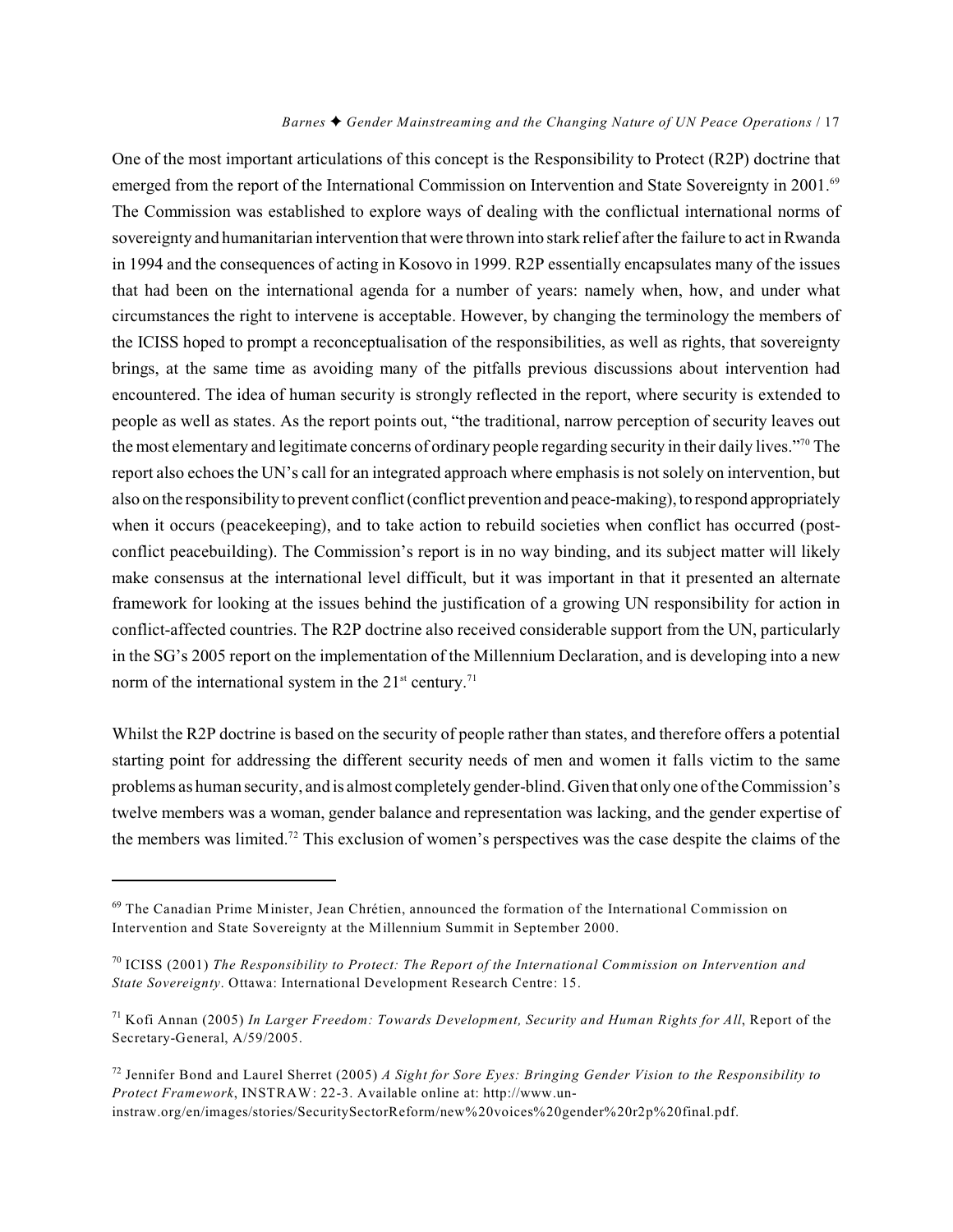One of the most important articulations of this concept is the Responsibility to Protect (R2P) doctrine that emerged from the report of the International Commission on Intervention and State Sovereignty in 2001.<sup>69</sup> The Commission was established to explore ways of dealing with the conflictual international norms of sovereignty and humanitarian intervention that were thrown into stark relief after the failure to act in Rwanda in 1994 and the consequences of acting in Kosovo in 1999. R2P essentially encapsulates many of the issues that had been on the international agenda for a number of years: namely when, how, and under what circumstances the right to intervene is acceptable. However, by changing the terminology the members of the ICISS hoped to prompt a reconceptualisation of the responsibilities, as well as rights, that sovereignty brings, at the same time as avoiding many of the pitfalls previous discussions about intervention had encountered. The idea of human security is strongly reflected in the report, where security is extended to people as well as states. As the report points out, "the traditional, narrow perception of security leaves out the most elementary and legitimate concerns of ordinary people regarding security in their daily lives."<sup>70</sup> The report also echoesthe UN's call for an integrated approach where emphasis is not solely on intervention, but also on the responsibility to prevent conflict (conflict prevention and peace-making), to respond appropriately when it occurs (peacekeeping), and to take action to rebuild societies when conflict has occurred (postconflict peacebuilding). The Commission's report is in no way binding, and its subject matter will likely make consensus at the international level difficult, but it was important in that it presented an alternate framework for looking at the issues behind the justification of a growing UN responsibility for action in conflict-affected countries. The R2P doctrine also received considerable support from the UN, particularly in the SG's 2005 report on the implementation of the Millennium Declaration, and is developing into a new norm of the international system in the  $21<sup>st</sup>$  century.<sup>71</sup>

Whilst the R2P doctrine is based on the security of people rather than states, and therefore offers a potential starting point for addressing the different security needs of men and women it falls victim to the same problems as human security, and is almost completely gender-blind. Given that only one of the Commission's twelve members was a woman, gender balance and representation was lacking, and the gender expertise of the members was limited.<sup>72</sup> This exclusion of women's perspectives was the case despite the claims of the

<sup>&</sup>lt;sup>69</sup> The Canadian Prime Minister, Jean Chrétien, announced the formation of the International Commission on Intervention and State Sovereignty at the Millennium Summit in September 2000.

<sup>&</sup>lt;sup>70</sup> ICISS (2001) *The Responsibility to Protect: The Report of the International Commission on Intervention and State Sovereignty*. Ottawa: International Development Research Centre: 15.

<sup>&</sup>lt;sup>71</sup> Kofi Annan (2005) *In Larger Freedom: Towards Development, Security and Human Rights for All*, Report of the Secretary-General, A/59/2005.

 $^{72}$  Jennifer Bond and Laurel Sherret (2005) *A Sight for Sore Eyes: Bringing Gender Vision to the Responsibility to Protect Framework*, INSTRAW: 22-3. Available online at: http://www.uninstraw.org/en/images/stories/SecuritySectorReform/new%20voices%20gender%20r2p%20final.pdf.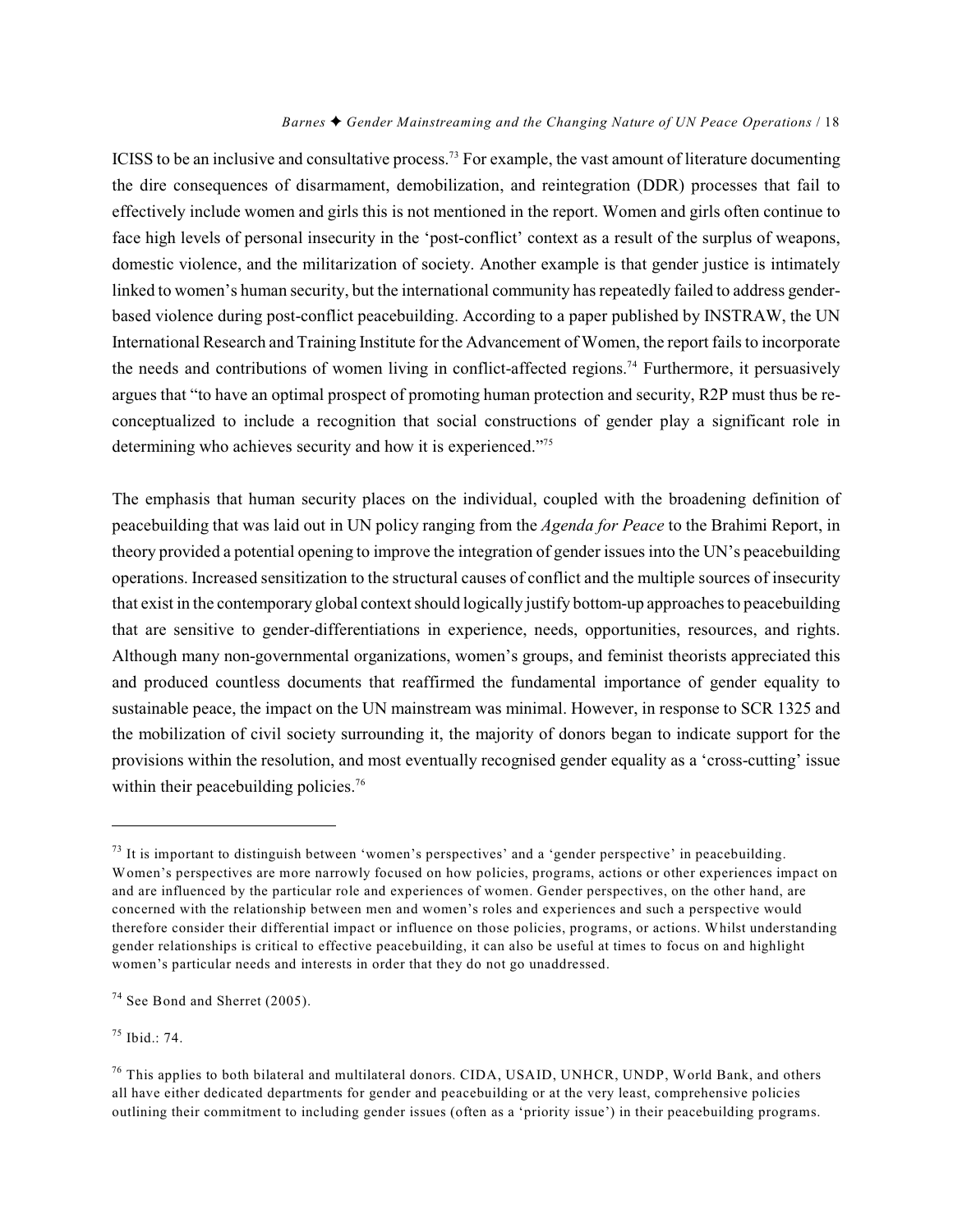ICISS to be an inclusive and consultative process.<sup>73</sup> For example, the vast amount of literature documenting the dire consequences of disarmament, demobilization, and reintegration (DDR) processes that fail to effectively include women and girls this is not mentioned in the report. Women and girls often continue to face high levels of personal insecurity in the 'post-conflict' context as a result of the surplus of weapons, domestic violence, and the militarization of society. Another example is that gender justice is intimately linked to women's human security, but the international community has repeatedly failed to address genderbased violence during post-conflict peacebuilding. According to a paper published by INSTRAW, the UN International Research and Training Institute for the Advancement of Women, the report fails to incorporate the needs and contributions of women living in conflict-affected regions.<sup>74</sup> Furthermore, it persuasively argues that "to have an optimal prospect of promoting human protection and security, R2P must thus be reconceptualized to include a recognition that social constructions of gender play a significant role in determining who achieves security and how it is experienced."<sup>75</sup>

The emphasis that human security places on the individual, coupled with the broadening definition of peacebuilding that was laid out in UN policy ranging from the *Agenda for Peace* to the Brahimi Report, in theory provided a potential opening to improve the integration of gender issues into the UN's peacebuilding operations. Increased sensitization to the structural causes of conflict and the multiple sources of insecurity that exist in the contemporary global context should logically justify bottom-up approaches to peacebuilding that are sensitive to gender-differentiations in experience, needs, opportunities, resources, and rights. Although many non-governmental organizations, women's groups, and feminist theorists appreciated this and produced countless documents that reaffirmed the fundamental importance of gender equality to sustainable peace, the impact on the UN mainstream was minimal. However, in response to SCR 1325 and the mobilization of civil society surrounding it, the majority of donors began to indicate support for the provisions within the resolution, and most eventually recognised gender equality as a 'cross-cutting' issue within their peacebuilding policies.<sup>76</sup>

 $^{75}$  Ibid.: 74.

 $^{73}$  It is important to distinguish between 'women's perspectives' and a 'gender perspective' in peacebuilding. Women's perspectives are more narrowly focused on how policies, programs, actions or other experiences impact on and are influenced by the particular role and experiences of women. Gender perspectives, on the other hand, are concerned with the relationship between men and women's roles and experiences and such a perspective would therefore consider their differential impact or influence on those policies, programs, or actions. Whilst understanding gender relationships is critical to effective peacebuilding, it can also be useful at times to focus on and highlight women's particular needs and interests in order that they do not go unaddressed.

 $74$  See Bond and Sherret (2005).

 $^{76}$  This applies to both bilateral and multilateral donors. CIDA, USAID, UNHCR, UNDP, World Bank, and others all have either dedicated departments for gender and peacebuilding or at the very least, comprehensive policies outlining their commitment to including gender issues (often as a 'priority issue') in their peacebuilding programs.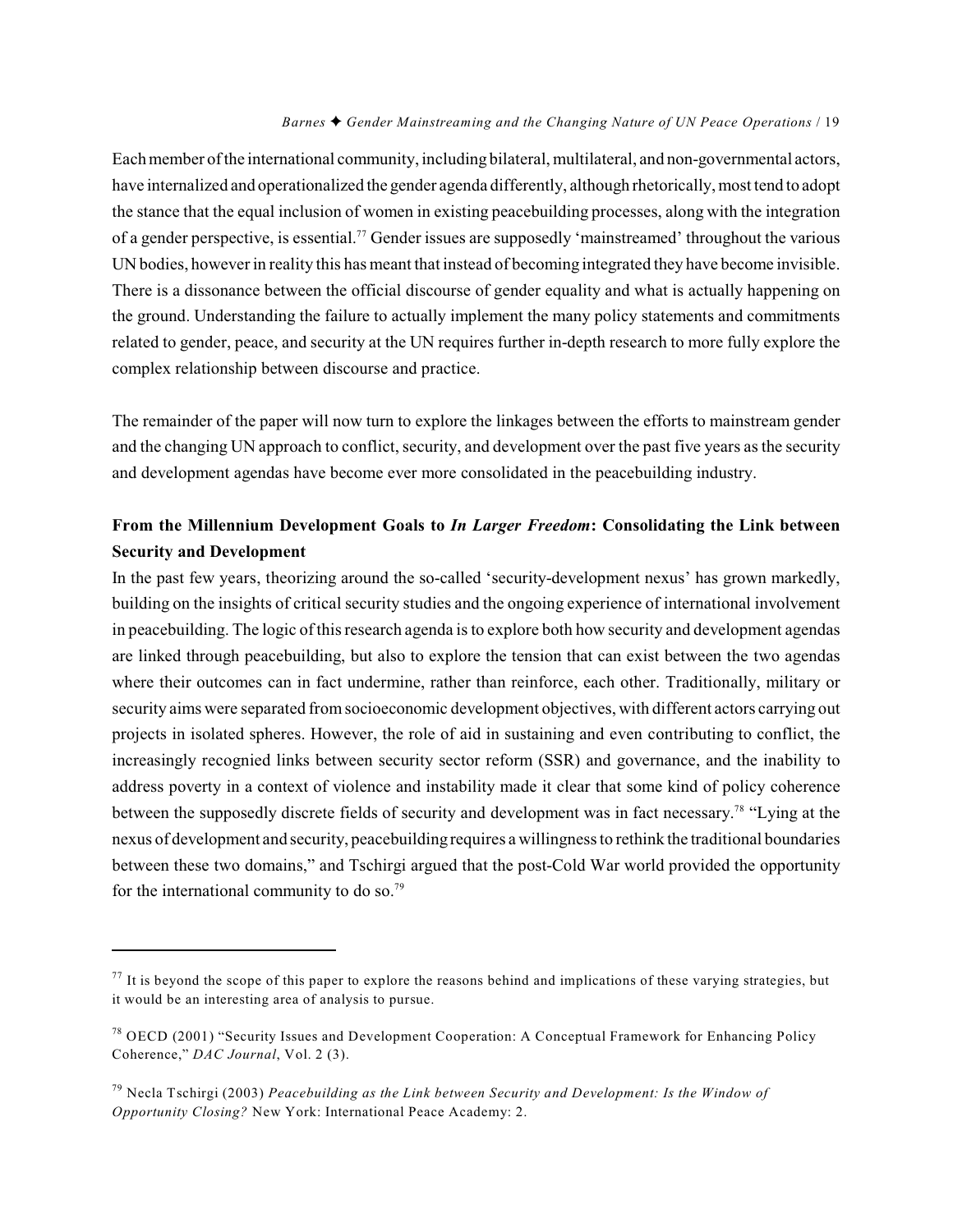Each member of the international community, including bilateral, multilateral, and non-governmental actors, have internalized and operationalized the gender agenda differently, although rhetorically, most tend to adopt the stance that the equal inclusion of women in existing peacebuilding processes, along with the integration of a gender perspective, is essential.<sup>77</sup> Gender issues are supposedly 'mainstreamed' throughout the various UN bodies, however in reality this has meant that instead of becoming integrated they have become invisible. There is a dissonance between the official discourse of gender equality and what is actually happening on the ground. Understanding the failure to actually implement the many policy statements and commitments related to gender, peace, and security at the UN requires further in-depth research to more fully explore the complex relationship between discourse and practice.

The remainder of the paper will now turn to explore the linkages between the efforts to mainstream gender and the changing UN approach to conflict, security, and development over the past five years as the security and development agendas have become ever more consolidated in the peacebuilding industry.

### **From the Millennium Development Goals to** *In Larger Freedom***: Consolidating the Link between Security and Development**

In the past few years, theorizing around the so-called 'security-development nexus' has grown markedly, building on the insights of critical security studies and the ongoing experience of international involvement in peacebuilding. The logic of this research agenda is to explore both how security and development agendas are linked through peacebuilding, but also to explore the tension that can exist between the two agendas where their outcomes can in fact undermine, rather than reinforce, each other. Traditionally, military or security aims were separated from socioeconomic development objectives, with different actors carrying out projects in isolated spheres. However, the role of aid in sustaining and even contributing to conflict, the increasingly recognied links between security sector reform (SSR) and governance, and the inability to address poverty in a context of violence and instability made it clear that some kind of policy coherence between the supposedly discrete fields of security and development was in fact necessary.<sup>78</sup> "Lying at the nexus of development and security, peacebuilding requires a willingness to rethink the traditional boundaries between these two domains," and Tschirgi argued that the post-Cold War world provided the opportunity for the international community to do so.79

 $^{77}$  It is beyond the scope of this paper to explore the reasons behind and implications of these varying strategies, but it would be an interesting area of analysis to pursue.

<sup>&</sup>lt;sup>78</sup> OECD (2001) "Security Issues and Development Cooperation: A Conceptual Framework for Enhancing Policy Coherence," *DAC Journal*, Vol. 2 (3).

<sup>&</sup>lt;sup>79</sup> Necla Tschirgi (2003) *Peacebuilding as the Link between Security and Development: Is the Window of Opportunity Closing?* New York: International Peace Academy: 2.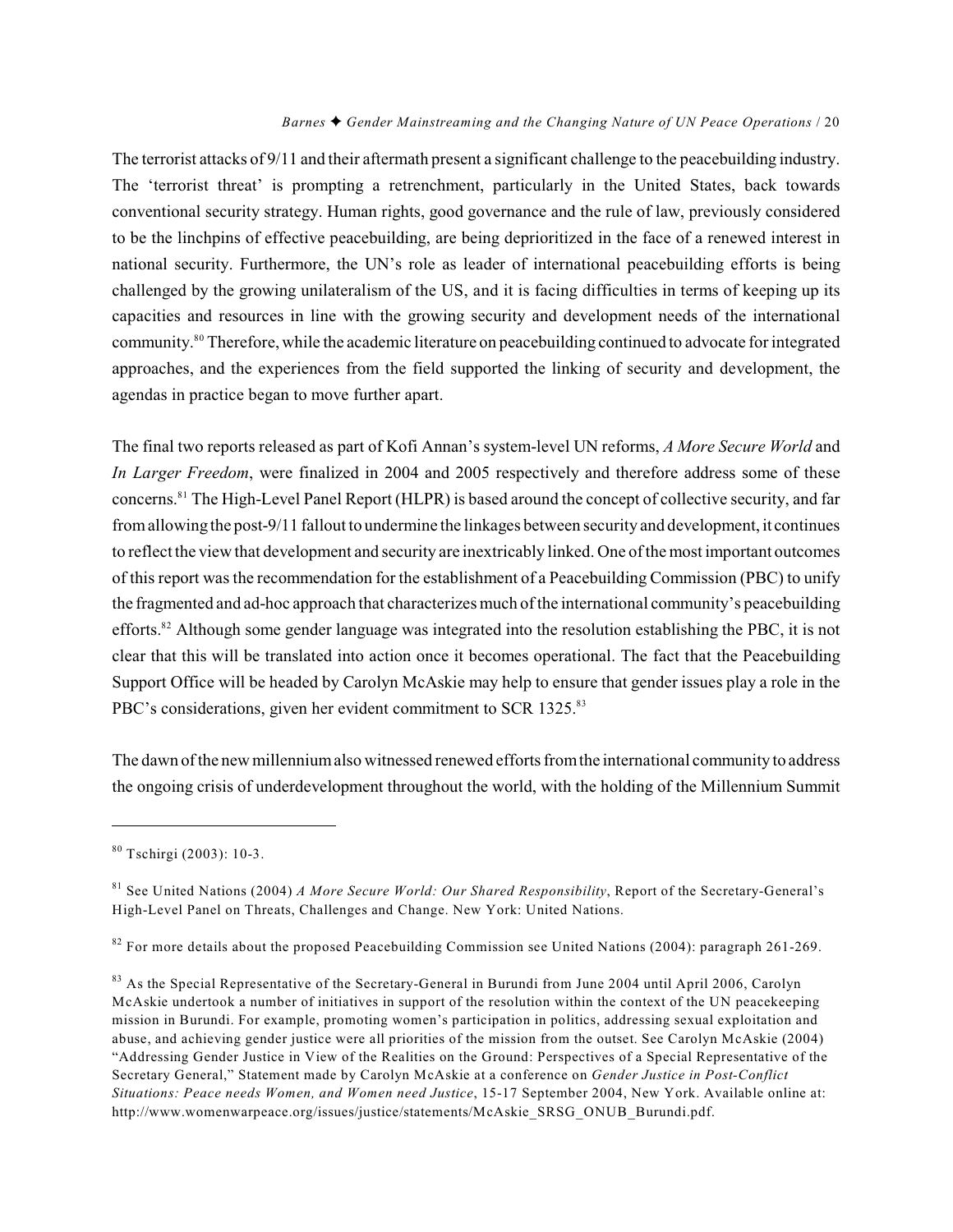The terrorist attacks of 9/11 and their aftermath present a significant challenge to the peacebuilding industry. The 'terrorist threat' is prompting a retrenchment, particularly in the United States, back towards conventional security strategy. Human rights, good governance and the rule of law, previously considered to be the linchpins of effective peacebuilding, are being deprioritized in the face of a renewed interest in national security. Furthermore, the UN's role as leader of international peacebuilding efforts is being challenged by the growing unilateralism of the US, and it is facing difficulties in terms of keeping up its capacities and resources in line with the growing security and development needs of the international community.<sup>80</sup> Therefore, while the academic literature on peacebuilding continued to advocate for integrated approaches, and the experiences from the field supported the linking of security and development, the agendas in practice began to move further apart.

The final two reports released as part of Kofi Annan's system-level UN reforms, *A More Secure World* and *In Larger Freedom*, were finalized in 2004 and 2005 respectively and therefore address some of these concerns.<sup>81</sup> The High-Level Panel Report (HLPR) is based around the concept of collective security, and far from allowing the post-9/11 fallout to undermine the linkages between security and development, it continues to reflect the view that development and security are inextricably linked. One of the most important outcomes of this report was the recommendation for the establishment of a Peacebuilding Commission (PBC) to unify the fragmented and ad-hoc approach that characterizes much of the international community's peacebuilding efforts.<sup>82</sup> Although some gender language was integrated into the resolution establishing the PBC, it is not clear that this will be translated into action once it becomes operational. The fact that the Peacebuilding Support Office will be headed by Carolyn McAskie may help to ensure that gender issues play a role in the PBC's considerations, given her evident commitment to SCR 1325.<sup>83</sup>

The dawn of the new millennium also witnessed renewed efforts from the international community to address the ongoing crisis of underdevelopment throughout the world, with the holding of the Millennium Summit

 $80$  Tschirgi (2003): 10-3.

<sup>&</sup>lt;sup>81</sup> See United Nations (2004) *A More Secure World: Our Shared Responsibility*, Report of the Secretary-General's High-Level Panel on Threats, Challenges and Change. New York: United Nations.

 $82$  For more details about the proposed Peacebuilding Commission see United Nations (2004): paragraph 261-269.

<sup>&</sup>lt;sup>83</sup> As the Special Representative of the Secretary-General in Burundi from June 2004 until April 2006, Carolyn McAskie undertook a number of initiatives in support of the resolution within the context of the UN peacekeeping mission in Burundi. For example, promoting women's participation in politics, addressing sexual exploitation and abuse, and achieving gender justice were all priorities of the mission from the outset. See Carolyn McAskie (2004) "Addressing Gender Justice in View of the Realities on the Ground: Perspectives of a Special Representative of the Secretary General," Statement made by Carolyn McAskie at a conference on *Gender Justice in Post-Conflict Situations: Peace needs Women, and Women need Justice*, 15-17 September 2004, New York. Available online at: http://www.womenwarpeace.org/issues/justice/statements/McAskie\_SRSG\_ONUB\_Burundi.pdf.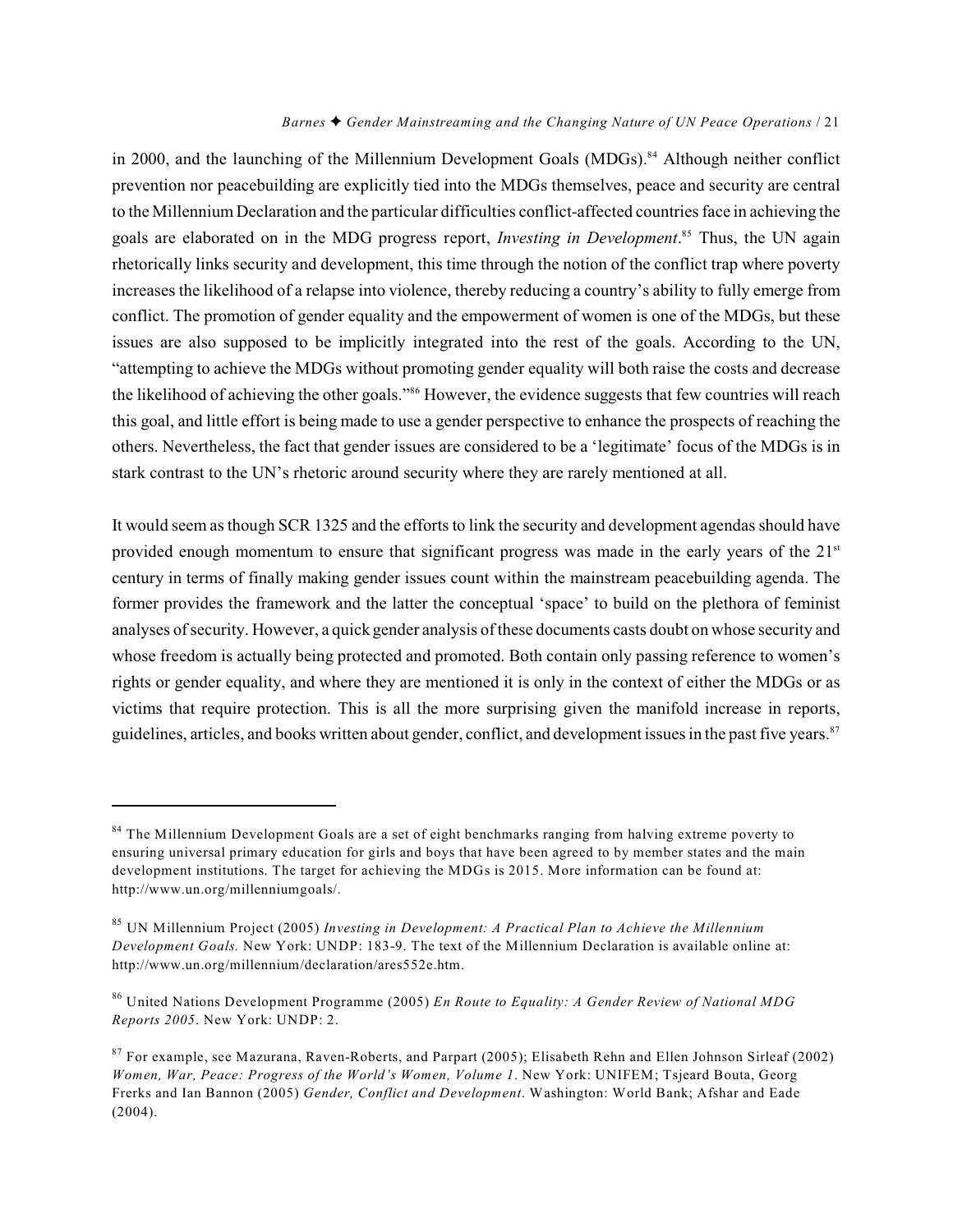in 2000, and the launching of the Millennium Development Goals (MDGs).<sup>84</sup> Although neither conflict prevention nor peacebuilding are explicitly tied into the MDGs themselves, peace and security are central to the Millennium Declaration and the particular difficulties conflict-affected countries face in achieving the goals are elaborated on in the MDG progress report, *Investing in Development*.<sup>85</sup> Thus, the UN again rhetorically links security and development, this time through the notion of the conflict trap where poverty increases the likelihood of a relapse into violence, thereby reducing a country's ability to fully emerge from conflict. The promotion of gender equality and the empowerment of women is one of the MDGs, but these issues are also supposed to be implicitly integrated into the rest of the goals. According to the UN, "attempting to achieve the MDGs without promoting gender equality will both raise the costs and decrease the likelihood of achieving the other goals."<sup>86</sup> However, the evidence suggests that few countries will reach this goal, and little effort is being made to use a gender perspective to enhance the prospects of reaching the others. Nevertheless, the fact that gender issues are considered to be a 'legitimate' focus of the MDGs is in stark contrast to the UN's rhetoric around security where they are rarely mentioned at all.

It would seem as though SCR 1325 and the efforts to link the security and development agendas should have provided enough momentum to ensure that significant progress was made in the early years of the  $21<sup>st</sup>$ century in terms of finally making gender issues count within the mainstream peacebuilding agenda. The former provides the framework and the latter the conceptual 'space' to build on the plethora of feminist analyses of security. However, a quick gender analysis of these documents casts doubt on whose security and whose freedom is actually being protected and promoted. Both contain only passing reference to women's rights or gender equality, and where they are mentioned it is only in the context of either the MDGs or as victims that require protection. This is all the more surprising given the manifold increase in reports, guidelines, articles, and books written about gender, conflict, and development issues in the past five years.<sup>87</sup>

 $84$  The Millennium Development Goals are a set of eight benchmarks ranging from halving extreme poverty to ensuring universal primary education for girls and boys that have been agreed to by member states and the main development institutions. The target for achieving the MDGs is 2015. More information can be found at: http://www.un.org/millenniumgoals/.

UN Millennium Project (2005) *Investing in Development: A Practical Plan to Achieve the Millennium* 85 *Development Goals.* New York: UNDP: 183-9. The text of the Millennium Declaration is available online at: http://www.un.org/millennium/declaration/ares552e.htm.

United Nations Development Programme (2005) *En Route to Equality: A Gender Review of National MDG* <sup>86</sup> *Reports 2005*. New York: UNDP: 2.

 $87$  For example, see Mazurana, Raven-Roberts, and Parpart (2005); Elisabeth Rehn and Ellen Johnson Sirleaf (2002) *Women, War, Peace: Progress of the World's Women, Volume 1*. New York: UNIFEM; Tsjeard Bouta, Georg Frerks and Ian Bannon (2005) *Gender, Conflict and Development*. Washington: World Bank; Afshar and Eade  $(2004).$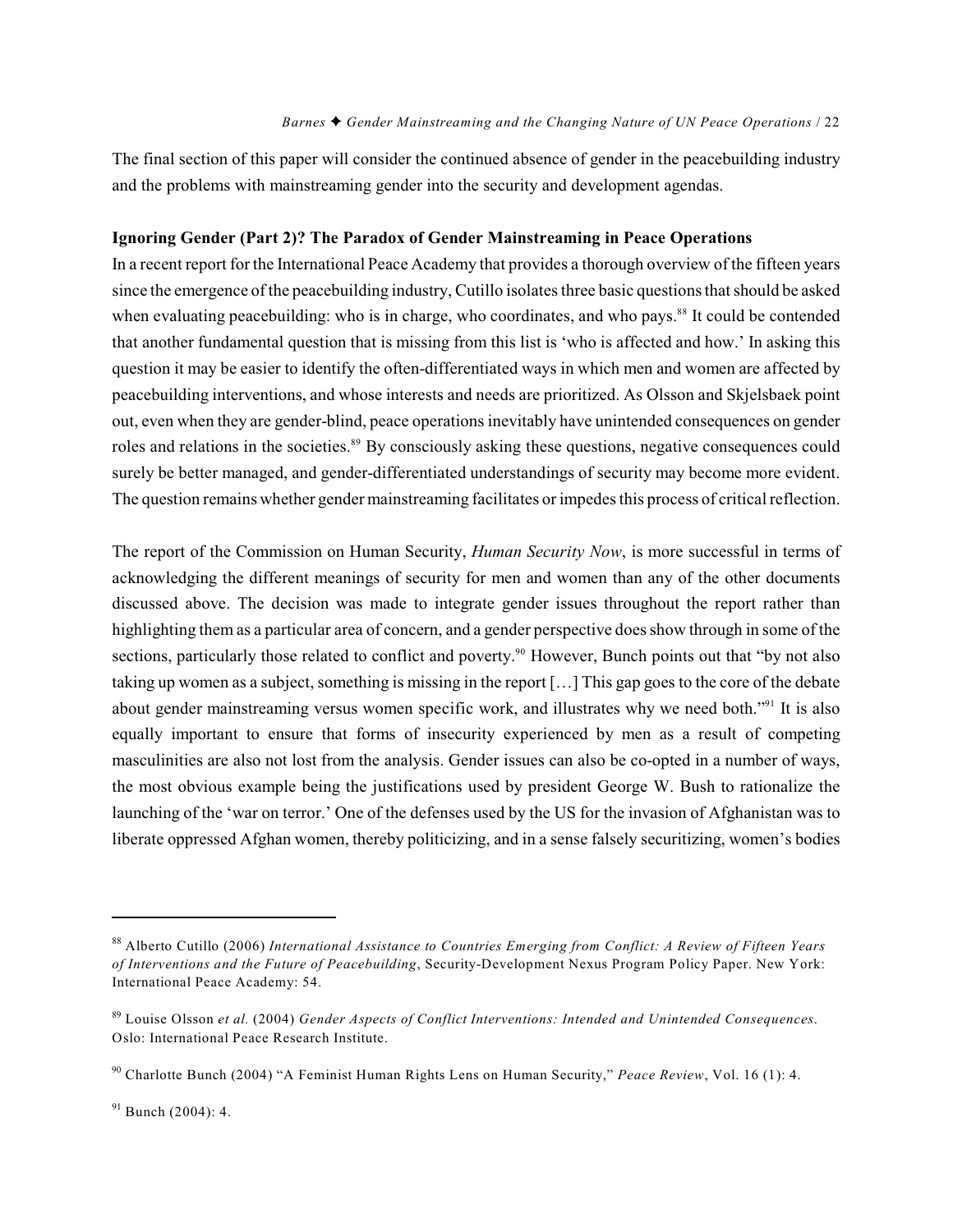The final section of this paper will consider the continued absence of gender in the peacebuilding industry and the problems with mainstreaming gender into the security and development agendas.

#### **Ignoring Gender (Part 2)? The Paradox of Gender Mainstreaming in Peace Operations**

In a recent report for the International Peace Academy that provides a thorough overview of the fifteen years since the emergence of the peacebuilding industry, Cutillo isolates three basic questions that should be asked when evaluating peacebuilding: who is in charge, who coordinates, and who pays.<sup>88</sup> It could be contended that another fundamental question that is missing from this list is 'who is affected and how.' In asking this question it may be easier to identify the often-differentiated ways in which men and women are affected by peacebuilding interventions, and whose interests and needs are prioritized. As Olsson and Skjelsbaek point out, even when they are gender-blind, peace operations inevitably have unintended consequences on gender roles and relations in the societies.<sup>89</sup> By consciously asking these questions, negative consequences could surely be better managed, and gender-differentiated understandings of security may become more evident. The question remains whether gender mainstreaming facilitates or impedes this process of critical reflection.

The report of the Commission on Human Security, *Human Security Now*, is more successful in terms of acknowledging the different meanings of security for men and women than any of the other documents discussed above. The decision was made to integrate gender issues throughout the report rather than highlighting them as a particular area of concern, and a gender perspective does show through in some of the sections, particularly those related to conflict and poverty.<sup>90</sup> However, Bunch points out that "by not also taking up women as a subject, something is missing in the report […] This gap goes to the core of the debate about gender mainstreaming versus women specific work, and illustrates why we need both."<sup>91</sup> It is also equally important to ensure that forms of insecurity experienced by men as a result of competing masculinities are also not lost from the analysis. Gender issues can also be co-opted in a number of ways, the most obvious example being the justifications used by president George W. Bush to rationalize the launching of the 'war on terror.' One of the defenses used by the US for the invasion of Afghanistan was to liberate oppressed Afghan women, thereby politicizing, and in a sense falsely securitizing, women's bodies

Alberto Cutillo (2006) *International Assistance to Countries Emerging from Conflict: A Review of Fifteen Years* <sup>88</sup> *of Interventions and the Future of Peacebuilding*, Security-Development Nexus Program Policy Paper. New York: International Peace Academy: 54.

Louise Olsson *et al.* (2004) *Gender Aspects of Conflict Interventions: Intended and Unintended Consequences*. 89 Oslo: International Peace Research Institute.

<sup>&</sup>lt;sup>90</sup> Charlotte Bunch (2004) "A Feminist Human Rights Lens on Human Security," *Peace Review*, Vol. 16 (1): 4.

 $91$  Bunch (2004): 4.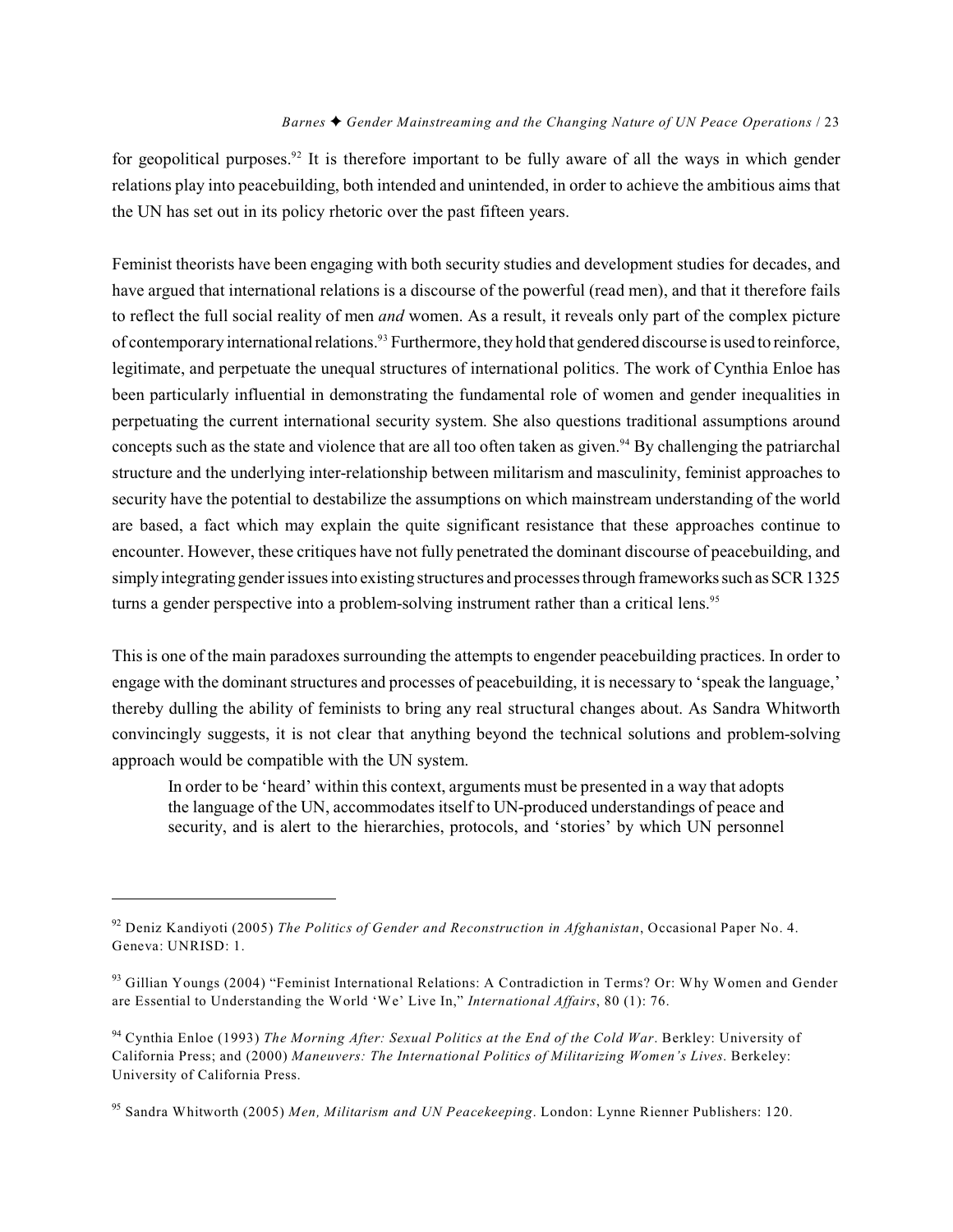for geopolitical purposes.<sup>92</sup> It is therefore important to be fully aware of all the ways in which gender relations play into peacebuilding, both intended and unintended, in order to achieve the ambitious aims that the UN has set out in its policy rhetoric over the past fifteen years.

Feminist theorists have been engaging with both security studies and development studies for decades, and have argued that international relations is a discourse of the powerful (read men), and that it therefore fails to reflect the full social reality of men *and* women. As a result, it reveals only part of the complex picture of contemporary international relations.<sup>93</sup> Furthermore, they hold that gendered discourse is used to reinforce, legitimate, and perpetuate the unequal structures of international politics. The work of Cynthia Enloe has been particularly influential in demonstrating the fundamental role of women and gender inequalities in perpetuating the current international security system. She also questions traditional assumptions around concepts such as the state and violence that are all too often taken as given.<sup>94</sup> By challenging the patriarchal structure and the underlying inter-relationship between militarism and masculinity, feminist approaches to security have the potential to destabilize the assumptions on which mainstream understanding of the world are based, a fact which may explain the quite significant resistance that these approaches continue to encounter. However, these critiques have not fully penetrated the dominant discourse of peacebuilding, and simply integrating gender issues into existing structures and processes through frameworks such as SCR 1325 turns a gender perspective into a problem-solving instrument rather than a critical lens.<sup>95</sup>

This is one of the main paradoxes surrounding the attempts to engender peacebuilding practices. In order to engage with the dominant structures and processes of peacebuilding, it is necessary to 'speak the language,' thereby dulling the ability of feminists to bring any real structural changes about. As Sandra Whitworth convincingly suggests, it is not clear that anything beyond the technical solutions and problem-solving approach would be compatible with the UN system.

In order to be 'heard' within this context, arguments must be presented in a way that adopts the language of the UN, accommodates itself to UN-produced understandings of peace and security, and is alert to the hierarchies, protocols, and 'stories' by which UN personnel

<sup>&</sup>lt;sup>92</sup> Deniz Kandiyoti (2005) *The Politics of Gender and Reconstruction in Afghanistan*, Occasional Paper No. 4. Geneva: UNRISD: 1.

<sup>&</sup>lt;sup>93</sup> Gillian Youngs (2004) "Feminist International Relations: A Contradiction in Terms? Or: Why Women and Gender are Essential to Understanding the World 'We' Live In," *International Affairs*, 80 (1): 76.

<sup>&</sup>lt;sup>94</sup> Cynthia Enloe (1993) *The Morning After: Sexual Politics at the End of the Cold War*. Berkley: University of California Press; and (2000) *Maneuvers: The International Politics of Militarizing Women's Lives*. Berkeley: University of California Press.

<sup>&</sup>lt;sup>95</sup> Sandra Whitworth (2005) Men, Militarism and UN Peacekeeping. London: Lynne Rienner Publishers: 120.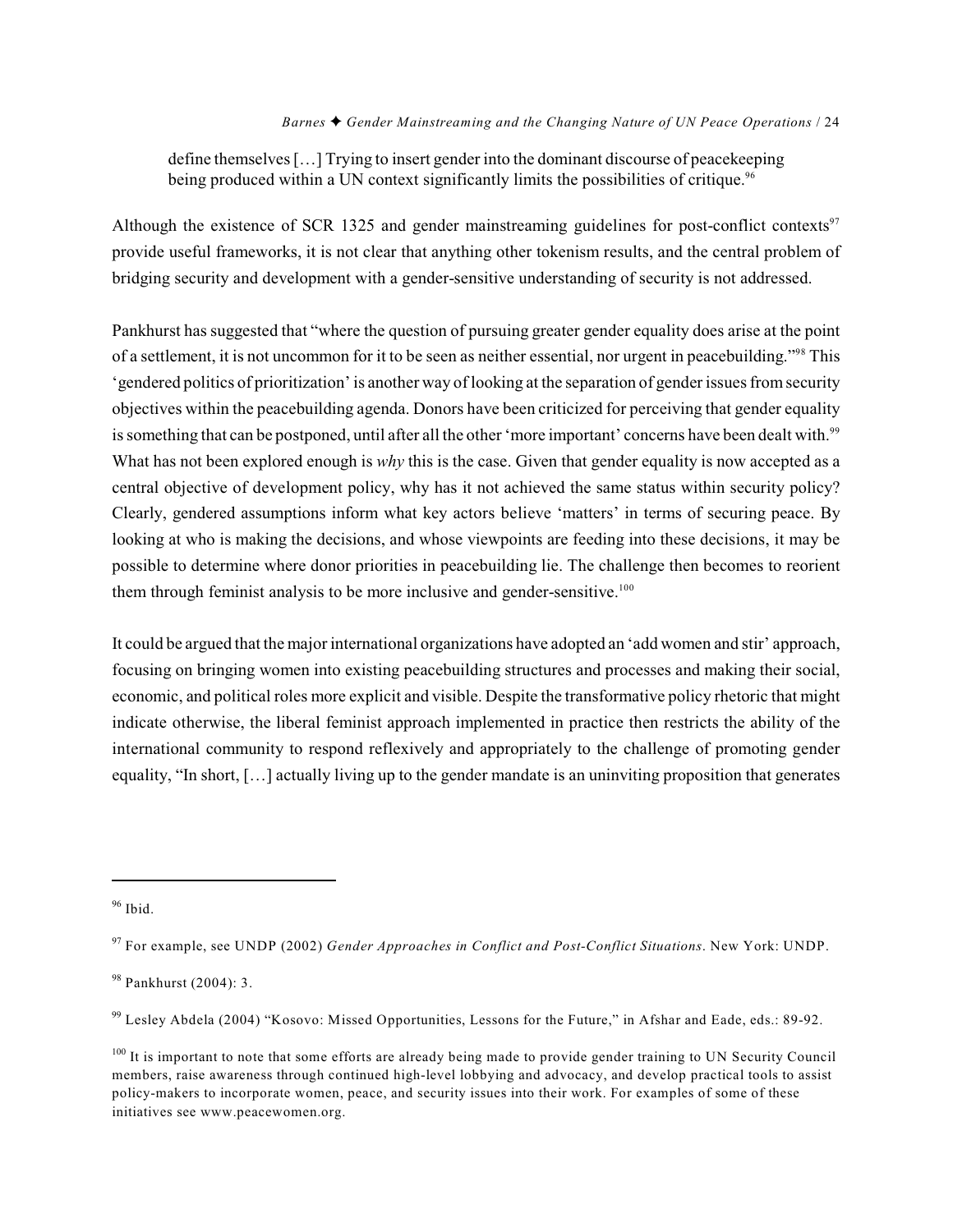define themselves […] Trying to insert gender into the dominant discourse of peacekeeping being produced within a UN context significantly limits the possibilities of critique.<sup>96</sup>

Although the existence of SCR 1325 and gender mainstreaming guidelines for post-conflict contexts<sup>97</sup> provide useful frameworks, it is not clear that anything other tokenism results, and the central problem of bridging security and development with a gender-sensitive understanding of security is not addressed.

Pankhurst has suggested that "where the question of pursuing greater gender equality does arise at the point of a settlement, it is not uncommon for it to be seen as neither essential, nor urgent in peacebuilding."<sup>98</sup> This 'gendered politics of prioritization' is another way of looking at the separation of gender issues from security objectives within the peacebuilding agenda. Donors have been criticized for perceiving that gender equality is something that can be postponed, until after all the other 'more important' concerns have been dealt with.<sup>99</sup> What has not been explored enough is *why* this is the case. Given that gender equality is now accepted as a central objective of development policy, why has it not achieved the same status within security policy? Clearly, gendered assumptions inform what key actors believe 'matters' in terms of securing peace. By looking at who is making the decisions, and whose viewpoints are feeding into these decisions, it may be possible to determine where donor priorities in peacebuilding lie. The challenge then becomes to reorient them through feminist analysis to be more inclusive and gender-sensitive.<sup>100</sup>

It could be argued that the major international organizations have adopted an 'add women and stir' approach, focusing on bringing women into existing peacebuilding structures and processes and making their social, economic, and political roles more explicit and visible. Despite the transformative policy rhetoric that might indicate otherwise, the liberal feminist approach implemented in practice then restricts the ability of the international community to respond reflexively and appropriately to the challenge of promoting gender equality, "In short, […] actually living up to the gender mandate is an uninviting proposition that generates

 $96$  Ibid.

<sup>&</sup>lt;sup>97</sup> For example, see UNDP (2002) *Gender Approaches in Conflict and Post-Conflict Situations*. New York: UNDP.

 $98$  Pankhurst (2004): 3.

<sup>&</sup>lt;sup>99</sup> Lesley Abdela (2004) "Kosovo: Missed Opportunities, Lessons for the Future," in Afshar and Eade, eds.: 89-92.

 $100$  It is important to note that some efforts are already being made to provide gender training to UN Security Council members, raise awareness through continued high-level lobbying and advocacy, and develop practical tools to assist policy-makers to incorporate women, peace, and security issues into their work. For examples of some of these initiatives see www.peacewomen.org.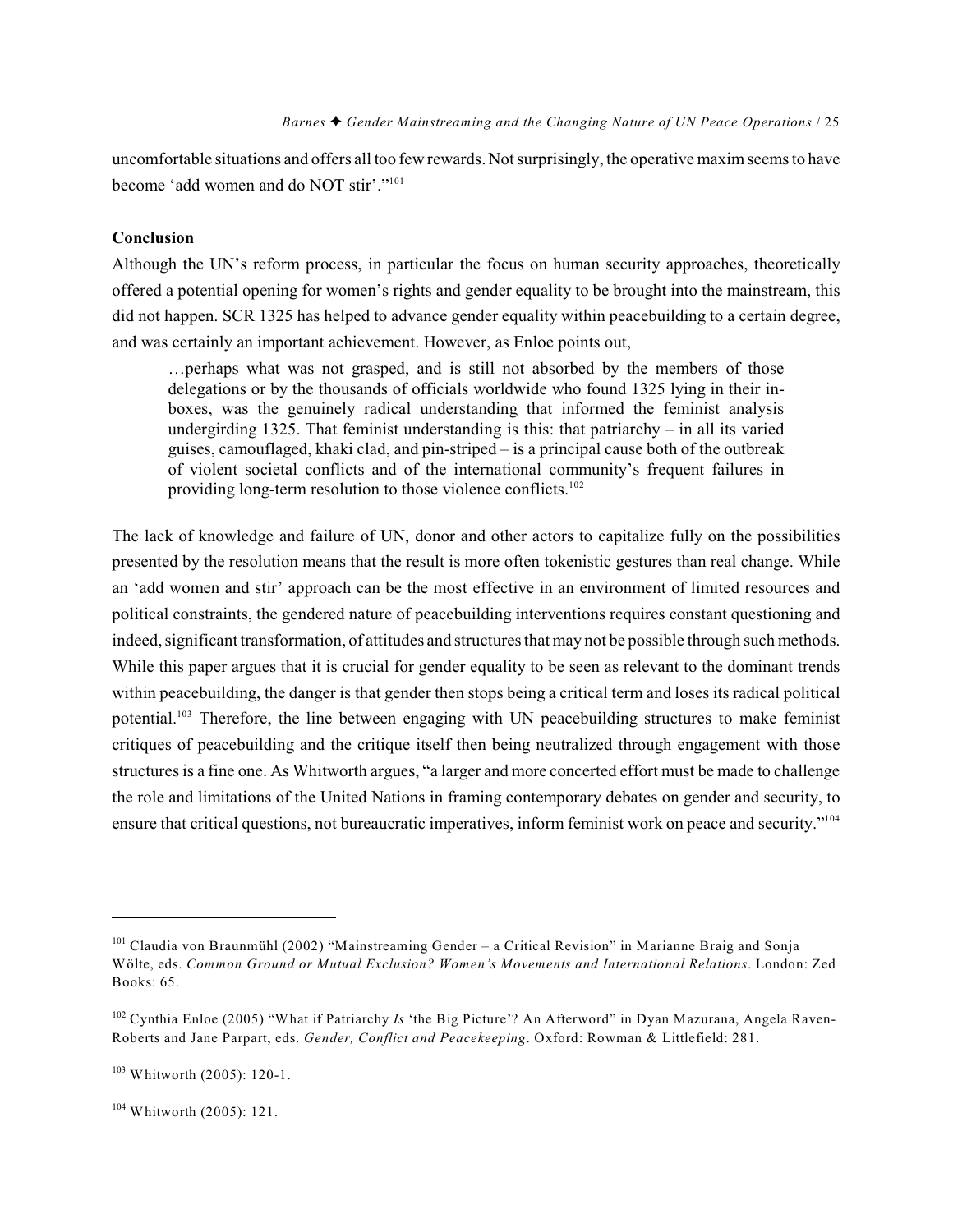uncomfortable situations and offers all too few rewards. Not surprisingly, the operative maxim seems to have become 'add women and do NOT stir'."<sup>101</sup>

#### **Conclusion**

Although the UN's reform process, in particular the focus on human security approaches, theoretically offered a potential opening for women's rights and gender equality to be brought into the mainstream, this did not happen. SCR 1325 has helped to advance gender equality within peacebuilding to a certain degree, and was certainly an important achievement. However, as Enloe points out,

…perhaps what was not grasped, and is still not absorbed by the members of those delegations or by the thousands of officials worldwide who found 1325 lying in their inboxes, was the genuinely radical understanding that informed the feminist analysis undergirding 1325. That feminist understanding is this: that patriarchy – in all its varied guises, camouflaged, khaki clad, and pin-striped – is a principal cause both of the outbreak of violent societal conflicts and of the international community's frequent failures in providing long-term resolution to those violence conflicts.<sup>102</sup>

The lack of knowledge and failure of UN, donor and other actors to capitalize fully on the possibilities presented by the resolution means that the result is more often tokenistic gestures than real change. While an 'add women and stir' approach can be the most effective in an environment of limited resources and political constraints, the gendered nature of peacebuilding interventions requires constant questioning and indeed, significant transformation, of attitudes and structures that may not be possible through such methods. While this paper argues that it is crucial for gender equality to be seen as relevant to the dominant trends within peacebuilding, the danger is that gender then stops being a critical term and loses its radical political potential.<sup>103</sup> Therefore, the line between engaging with UN peacebuilding structures to make feminist critiques of peacebuilding and the critique itself then being neutralized through engagement with those structures is a fine one. As Whitworth argues, "a larger and more concerted effort must be made to challenge the role and limitations of the United Nations in framing contemporary debates on gender and security, to ensure that critical questions, not bureaucratic imperatives, inform feminist work on peace and security."104

 $101$  Claudia von Braunmühl (2002) "Mainstreaming Gender – a Critical Revision" in Marianne Braig and Sonja Wölte, eds. *Common Ground or Mutual Exclusion? Women's Movements and International Relations*. London: Zed Books: 65.

<sup>&</sup>lt;sup>102</sup> Cynthia Enloe (2005) "What if Patriarchy *Is* 'the Big Picture'? An Afterword" in Dyan Mazurana, Angela Raven-Roberts and Jane Parpart, eds. *Gender, Conflict and Peacekeeping*. Oxford: Rowman & Littlefield: 281.

 $103$  Whitworth (2005): 120-1.

<sup>&</sup>lt;sup>104</sup> Whitworth (2005): 121.